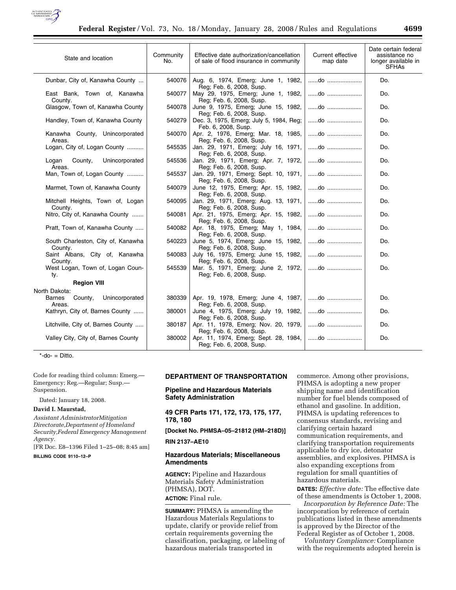

| State and location                                   | Community<br>No. | Effective date authorization/cancellation<br>of sale of flood insurance in community | Current effective<br>map date | Date certain federal<br>assistance no<br>longer available in<br><b>SFHAs</b> |
|------------------------------------------------------|------------------|--------------------------------------------------------------------------------------|-------------------------------|------------------------------------------------------------------------------|
| Dunbar, City of, Kanawha County                      | 540076           | Aug. 6, 1974, Emerg; June 1, 1982,<br>Reg; Feb. 6, 2008, Susp.                       | do                            | Do.                                                                          |
| East Bank, Town of, Kanawha<br>County.               | 540077           | May 29, 1975, Emerg; June 1, 1982,<br>Reg; Feb. 6, 2008, Susp.                       | do                            | Do.                                                                          |
| Glasgow, Town of, Kanawha County                     | 540078           | June 9, 1975, Emerg; June 15, 1982,<br>Reg; Feb. 6, 2008, Susp.                      | do                            | Do.                                                                          |
| Handley, Town of, Kanawha County                     | 540279           | Dec. 3, 1975, Emerg; July 5, 1984, Reg;<br>Feb. 6, 2008, Susp.                       | do                            | Do.                                                                          |
| Kanawha County, Unincorporated<br>Areas.             | 540070           | Apr. 2, 1976, Emerg; Mar. 18, 1985,<br>Reg: Feb. 6, 2008, Susp.                      | do                            | Do.                                                                          |
| Logan, City of, Logan County                         | 545535           | Jan. 29, 1971, Emerg; July 16, 1971,<br>Reg; Feb. 6, 2008, Susp.                     | do                            | Do.                                                                          |
| County,<br>Unincorporated<br>Logan<br>Areas.         | 545536           | Jan. 29, 1971, Emerg; Apr. 7, 1972,<br>Reg; Feb. 6, 2008, Susp.                      | $\dots$ do $\dots$            | Do.                                                                          |
| Man, Town of, Logan County                           | 545537           | Jan. 29, 1971, Emerg; Sept. 10, 1971,<br>Reg; Feb. 6, 2008, Susp.                    | do                            | Do.                                                                          |
| Marmet, Town of, Kanawha County                      | 540079           | June 12, 1975, Emerg; Apr. 15, 1982,<br>Reg; Feb. 6, 2008, Susp.                     | do                            | Do.                                                                          |
| Mitchell Heights, Town of, Logan<br>County.          | 540095           | Jan. 29, 1971, Emerg; Aug. 13, 1971,<br>Reg: Feb. 6, 2008, Susp.                     | do                            | Do.                                                                          |
| Nitro, City of, Kanawha County                       | 540081           | Apr. 21, 1975, Emerg; Apr. 15, 1982,<br>Reg; Feb. 6, 2008, Susp.                     | do                            | Do.                                                                          |
| Pratt, Town of, Kanawha County                       | 540082           | Apr. 18, 1975, Emerg; May 1, 1984,<br>Reg; Feb. 6, 2008, Susp.                       | do                            | Do.                                                                          |
| South Charleston, City of, Kanawha<br>County.        | 540223           | June 5, 1974, Emerg; June 15, 1982,<br>Reg; Feb. 6, 2008, Susp.                      | do                            | Do.                                                                          |
| Saint Albans, City of, Kanawha<br>County.            | 540083           | July 16, 1975, Emerg; June 15, 1982,<br>Reg; Feb. 6, 2008, Susp.                     | do                            | Do.                                                                          |
| West Logan, Town of, Logan Coun-<br>ty.              | 545539           | Mar. 5, 1971, Emerg; June 2, 1972,<br>Reg; Feb. 6, 2008, Susp.                       | do                            | Do.                                                                          |
| <b>Region VIII</b>                                   |                  |                                                                                      |                               |                                                                              |
| North Dakota:                                        |                  |                                                                                      |                               |                                                                              |
| Unincorporated<br><b>Barnes</b><br>County,<br>Areas. | 380339           | Apr. 19, 1978, Emerg; June 4, 1987,   do<br>Reg; Feb. 6, 2008, Susp.                 |                               | Do.                                                                          |
| Kathryn, City of, Barnes County                      | 380001           | June 4, 1975, Emerg; July 19, 1982,<br>Reg: Feb. 6, 2008, Susp.                      | do                            | Do.                                                                          |
| Litchville, City of, Barnes County                   | 380187           | Apr. 11, 1978, Emerg; Nov. 20, 1979,<br>Reg; Feb. 6, 2008, Susp.                     | do                            | Do.                                                                          |
| Valley City, City of, Barnes County                  | 380002           | Apr. 11, 1974, Emerg; Sept. 28, 1984,<br>Reg; Feb. 6, 2008, Susp.                    | do                            | Do.                                                                          |

 $*$ -do- = Ditto.

Code for reading third column: Emerg.— Emergency; Reg.—Regular; Susp.— Suspension.

Dated: January 18, 2008.

#### **David I. Maurstad,**

*Assistant AdministratorMitigation Directorate,Department of Homeland Security,Federal Emergency Management Agency.* 

[FR Doc. E8–1396 Filed 1–25–08; 8:45 am]

**BILLING CODE 9110–12–P** 

## **DEPARTMENT OF TRANSPORTATION**

## **Pipeline and Hazardous Materials Safety Administration**

**49 CFR Parts 171, 172, 173, 175, 177, 178, 180** 

**[Docket No. PHMSA–05–21812 (HM–218D)]** 

## **RIN 2137–AE10**

## **Hazardous Materials; Miscellaneous Amendments**

**AGENCY:** Pipeline and Hazardous Materials Safety Administration (PHMSA), DOT. **ACTION:** Final rule.

**SUMMARY:** PHMSA is amending the Hazardous Materials Regulations to

update, clarify or provide relief from certain requirements governing the classification, packaging, or labeling of hazardous materials transported in

commerce. Among other provisions, PHMSA is adopting a new proper shipping name and identification number for fuel blends composed of ethanol and gasoline. In addition, PHMSA is updating references to consensus standards, revising and clarifying certain hazard communication requirements, and clarifying transportation requirements applicable to dry ice, detonator assemblies, and explosives. PHMSA is also expanding exceptions from regulation for small quantities of hazardous materials.

**DATES:** *Effective date:* The effective date of these amendments is October 1, 2008.

*Incorporation by Reference Date:* The incorporation by reference of certain publications listed in these amendments is approved by the Director of the Federal Register as of October 1, 2008.

*Voluntary Compliance:* Compliance with the requirements adopted herein is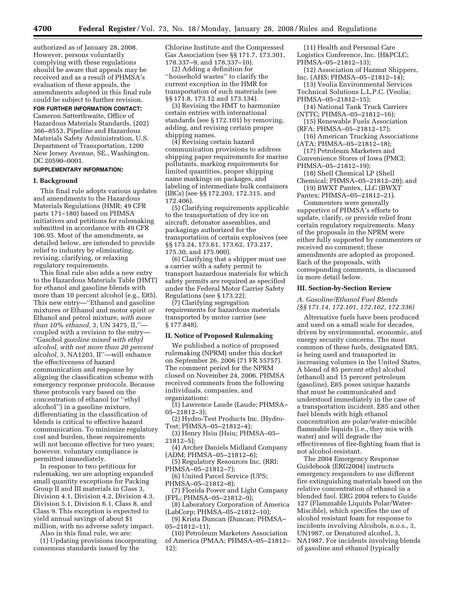authorized as of January 28, 2008. However, persons voluntarily complying with these regulations should be aware that appeals may be received and as a result of PHMSA's evaluation of these appeals, the amendments adopted in this final rule could be subject to further revision.

## **FOR FURTHER INFORMATION CONTACT:**

Cameron Satterthwaite, Office of Hazardous Materials Standards, (202) 366–8553, Pipeline and Hazardous Materials Safety Administration, U.S. Department of Transportation, 1200 New Jersey Avenue, SE., Washington, DC 20590–0001.

### **SUPPLEMENTARY INFORMATION:**

### **I. Background**

This final rule adopts various updates and amendments to the Hazardous Materials Regulations (HMR; 49 CFR parts 171–180) based on PHMSA initiatives and petitions for rulemaking submitted in accordance with 49 CFR 106.95. Most of the amendments, as detailed below, are intended to provide relief to industry by eliminating, revising, clarifying, or relaxing regulatory requirements.

This final rule also adds a new entry to the Hazardous Materials Table (HMT) for ethanol and gasoline blends with more than 10 percent alcohol (e.g., E85). This new entry—''Ethanol and gasoline mixtures *or* Ethanol and motor spirit *or*  Ethanol and petrol mixture, *with more than 10% ethanol,* 3, UN 3475, II,'' coupled with a revision to the entry— ''Gasohol *gasoline mixed with ethyl alcohol, with not more than 20 percent alcohol,* 3, NA1203, II''—will enhance the effectiveness of hazard communication and response by aligning the classification scheme with emergency response protocols. Because these protocols vary based on the concentration of ethanol (or ''ethyl alcohol'') in a gasoline mixture, differentiating in the classification of blends is critical to effective hazard communication. To minimize regulatory cost and burden, these requirements will not become effective for two years; however, voluntary compliance is permitted immediately.

In response to two petitions for rulemaking, we are adopting expanded small quantity exceptions for Packing Group II and III materials in Class 3, Division 4.1, Division 4.2, Division 4.3, Division 5.1, Division 6.1, Class 8, and Class 9. This exception is expected to yield annual savings of about \$1 million, with no adverse safety impact.

Also in this final rule, we are:

(1) Updating provisions incorporating consensus standards issued by the

Chlorine Institute and the Compressed Gas Association (see §§ 171.7, 173.301, 178.337–9, and 178.337–10).

(2) Adding a definition for ''household wastes'' to clarify the current exception in the HMR for transportation of such materials (see §§ 171.8, 173.12 and 173.134).

(3) Revising the HMT to harmonize certain entries with international standards (see § 172.101) by removing, adding, and revising certain proper shipping names.

(4) Revising certain hazard communication provisions to address shipping paper requirements for marine pollutants, marking requirements for limited quantities, proper shipping name markings on packages, and labeling of intermediate bulk containers (IBCs) (see §§ 172.203, 172.315, and 172.406).

(5) Clarifying requirements applicable to the transportation of dry ice on aircraft, detonator assemblies, and packagings authorized for the transportation of certain explosives (see §§ 173.24, 173.61, 173.62, 173.217, 175.30, and 175.900).

(6) Clarifying that a shipper must use a carrier with a safety permit to transport hazardous materials for which safety permits are required as specified under the Federal Motor Carrier Safety Regulations (see § 173.22).

(7) Clarifying segregation requirements for hazardous materials transported by motor carrier (see § 177.848).

### **II. Notice of Proposed Rulemaking**

We published a notice of proposed rulemaking (NPRM) under this docket on September 26, 2006 (71 FR 55757). The comment period for the NPRM closed on November 24, 2006. PHMSA received comments from the following individuals, companies, and organizations:

(1) Lawrence Laude (Laude; PHMSA– 05–21812–3);

(2) Hydro-Test Products Inc. (Hydro-Test; PHMSA–05–21812–4);

(3) Henry Hsiu (Hsiu; PHMSA–05– 21812–5);

(4) Archer Daniels Midland Company (ADM; PHMSA–05–21812–6);

(5) Regulatory Resources Inc. (RRI; PHMSA–05–21812–7);

(6) United Parcel Service (UPS; PHMSA–05–21812–8);

(7) Florida Power and Light Company (FPL; PHMSA–05–21812–9);

(8) Laboratory Corporation of America (LabCorp; PHMSA–05–21812–10);

(9) Krista Duncan (Duncan; PHMSA– 05–21812–11);

(10) Petroleum Marketers Association of America (PMAA; PHMSA–05–21812– 12);

(11) Health and Personal Care Logistics Conference, Inc. (H&PCLC; PHMSA–05–21812–13);

- (12) Association of Hazmat Shippers, Inc. (AHS; PHMSA–05–21812–14);
- (13) Veolia Environmental Services Technical Solutions L.L.P.C. (Veolia; PHMSA–05–21812–15);
- (14) National Tank Truck Carriers (NTTC; PHMSA–05–21812–16);
- (15) Renewable Fuels Association
- (RFA; PHMSA–05–21812–17); (16) American Trucking Associations

(ATA; PHMSA–05–21812–18); (17) Petroleum Marketers and

Convenience Stores of Iowa (PMCI; PHMSA–05–21812–19);

- (18) Shell Chemical LP (Shell
- Chemical; PHMSA–05–21812–20); and (19) BWXT Pantex, LLC (BWXT

Pantex; PHMSA–05–21812–21).

Commenters were generally supportive of PHMSA's efforts to update, clarify, or provide relief from certain regulatory requirements. Many of the proposals in the NPRM were either fully supported by commenters or received no comment; these amendments are adopted as proposed. Each of the proposals, with corresponding comments, is discussed in more detail below.

#### **III. Section-by-Section Review**

## *A. Gasoline/Ethanol Fuel Blends (§§ 171.14, 172.101, 172.102, 172.336)*

Alternative fuels have been produced and used on a small scale for decades, driven by environmental, economic, and energy security concerns. The most common of these fuels, designated E85, is being used and transported in increasing volumes in the United States. A blend of 85 percent ethyl alcohol (ethanol) and 15 percent petroleum (gasoline), E85 poses unique hazards that must be communicated and understood immediately in the case of a transportation incident. E85 and other fuel blends with high ethanol concentration are polar/water-miscible flammable liquids (i.e., they mix with water) and will degrade the effectiveness of fire-fighting foam that is not alcohol-resistant.

The 2004 Emergency Response Guidebook (ERG2004) instructs emergency responders to use different fire extinguishing materials based on the relative concentration of ethanol in a blended fuel. ERG 2004 refers to Guide 127 (Flammable Liquids Polar/Water-Miscible), which specifies the use of alcohol resistant foam for response to incidents involving Alcohols, n.o.s., 3, UN1987, or Denatured alcohol, 3, NA1987. For incidents involving blends of gasoline and ethanol (typically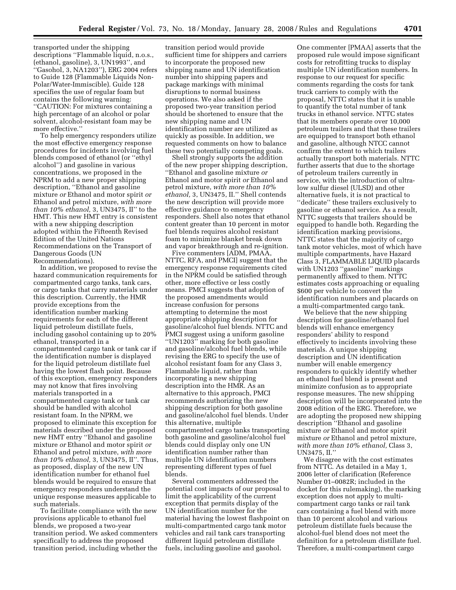transported under the shipping descriptions ''Flammable liquid, n.o.s., (ethanol, gasoline), 3, UN1993'', and ''Gasohol, 3, NA1203''), ERG 2004 refers to Guide 128 (Flammable Liquids Non-Polar/Water-Immiscible). Guide 128 specifies the use of regular foam but contains the following warning: ''CAUTION: For mixtures containing a high percentage of an alcohol or polar solvent, alcohol-resistant foam may be more effective.''

To help emergency responders utilize the most effective emergency response procedures for incidents involving fuel blends composed of ethanol (or ''ethyl alcohol'') and gasoline in various concentrations, we proposed in the NPRM to add a new proper shipping description, ''Ethanol and gasoline mixture *or* Ethanol and motor spirit *or*  Ethanol and petrol mixture, *with more than 10% ethanol,* 3, UN3475, II'' to the HMT. This new HMT entry is consistent with a new shipping description adopted within the Fifteenth Revised Edition of the United Nations Recommendations on the Transport of Dangerous Goods (UN Recommendations).

In addition, we proposed to revise the hazard communication requirements for compartmented cargo tanks, tank cars, or cargo tanks that carry materials under this description. Currently, the HMR provide exceptions from the identification number marking requirements for each of the different liquid petroleum distillate fuels, including gasohol containing up to 20% ethanol, transported in a compartmented cargo tank or tank car if the identification number is displayed for the liquid petroleum distillate fuel having the lowest flash point. Because of this exception, emergency responders may not know that fires involving materials transported in a compartmented cargo tank or tank car should be handled with alcohol resistant foam. In the NPRM, we proposed to eliminate this exception for materials described under the proposed new HMT entry ''Ethanol and gasoline mixture *or* Ethanol and motor spirit *or*  Ethanol and petrol mixture, *with more than 10% ethanol,* 3, UN3475, II''. Thus, as proposed, display of the new UN identification number for ethanol fuel blends would be required to ensure that emergency responders understand the unique response measures applicable to such materials.

To facilitate compliance with the new provisions applicable to ethanol fuel blends, we proposed a two-year transition period. We asked commenters specifically to address the proposed transition period, including whether the

transition period would provide sufficient time for shippers and carriers to incorporate the proposed new shipping name and UN identification number into shipping papers and package markings with minimal disruptions to normal business operations. We also asked if the proposed two-year transition period should be shortened to ensure that the new shipping name and UN identification number are utilized as quickly as possible. In addition, we requested comments on how to balance these two potentially competing goals.

Shell strongly supports the addition of the new proper shipping description, ''Ethanol and gasoline mixture *or*  Ethanol and motor spirit *or* Ethanol and petrol mixture, *with more than 10% ethanol,* 3, UN3475, II.'' Shell contends the new description will provide more effective guidance to emergency responders. Shell also notes that ethanol content greater than 10 percent in motor fuel blends requires alcohol resistant foam to minimize blanket break down and vapor breakthrough and re-ignition.

Five commenters [ADM, PMAA, NTTC, RFA, and PMCI] suggest that the emergency response requirements cited in the NPRM could be satisfied through other, more effective or less costly means. PMCI suggests that adoption of the proposed amendments would increase confusion for persons attempting to determine the most appropriate shipping description for gasoline/alcohol fuel blends. NTTC and PMCI suggest using a uniform gasoline ''UN1203'' marking for both gasoline and gasoline/alcohol fuel blends, while revising the ERG to specify the use of alcohol resistant foam for any Class 3, Flammable liquid, rather than incorporating a new shipping description into the HMR. As an alternative to this approach, PMCI recommends authorizing the new shipping description for both gasoline and gasoline/alcohol fuel blends. Under this alternative, multiple compartmented cargo tanks transporting both gasoline and gasoline/alcohol fuel blends could display only one UN identification number rather than multiple UN identification numbers representing different types of fuel blends.

Several commenters addressed the potential cost impacts of our proposal to limit the applicability of the current exception that permits display of the UN identification number for the material having the lowest flashpoint on multi-compartmented cargo tank motor vehicles and rail tank cars transporting different liquid petroleum distillate fuels, including gasoline and gasohol.

One commenter [PMAA] asserts that the proposed rule would impose significant costs for retrofitting trucks to display multiple UN identification numbers. In response to our request for specific comments regarding the costs for tank truck carriers to comply with the proposal, NTTC states that it is unable to quantify the total number of tank trucks in ethanol service. NTTC states that its members operate over 10,000 petroleum trailers and that these trailers are equipped to transport both ethanol and gasoline, although NTCC cannot confirm the extent to which trailers actually transport both materials. NTTC further asserts that due to the shortage of petroleum trailers currently in service, with the introduction of ultralow sulfur diesel (ULSD) and other alternative fuels, it is not practical to ''dedicate'' these trailers exclusively to gasoline or ethanol service. As a result, NTTC suggests that trailers should be equipped to handle both. Regarding the identification marking provisions, NTTC states that the majority of cargo tank motor vehicles, most of which have multiple compartments, have Hazard Class 3, FLAMMABLE LIQUID placards with UN1203 ''gasoline'' markings permanently affixed to them. NTTC estimates costs approaching or equaling \$600 per vehicle to convert the identification numbers and placards on a multi-compartmented cargo tank.

We believe that the new shipping description for gasoline/ethanol fuel blends will enhance emergency responders' ability to respond effectively to incidents involving these materials. A unique shipping description and UN identification number will enable emergency responders to quickly identify whether an ethanol fuel blend is present and minimize confusion as to appropriate response measures. The new shipping description will be incorporated into the 2008 edition of the ERG. Therefore, we are adopting the proposed new shipping description ''Ethanol and gasoline mixture *or* Ethanol and motor spirit mixture *or* Ethanol and petrol mixture, *with more than 10% ethanol,* Class 3, UN3475, II.''

We disagree with the cost estimates from NTTC. As detailed in a May 1, 2006 letter of clarification (Reference Number 01–0082R; included in the docket for this rulemaking), the marking exception does not apply to multicompartment cargo tanks or rail tank cars containing a fuel blend with more than 10 percent alcohol and various petroleum distillate fuels because the alcohol-fuel blend does not meet the definition for a petroleum distillate fuel. Therefore, a multi-compartment cargo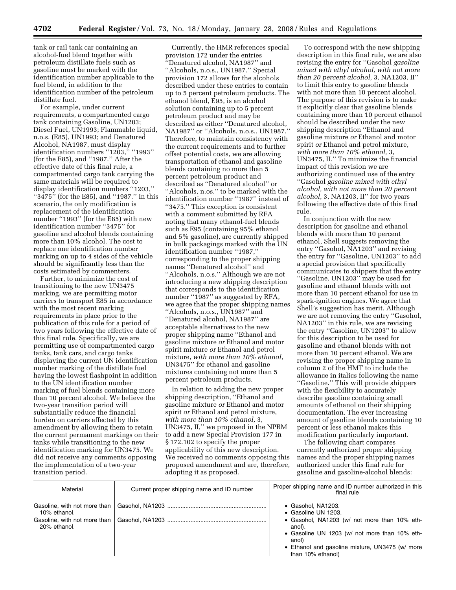tank or rail tank car containing an alcohol-fuel blend together with petroleum distillate fuels such as gasoline must be marked with the identification number applicable to the fuel blend, in addition to the identification number of the petroleum distillate fuel.

For example, under current requirements, a compartmented cargo tank containing Gasoline, UN1203; Diesel Fuel, UN1993; Flammable liquid, n.o.s. (E85), UN1993; and Denatured Alcohol, NA1987, must display identification numbers "1203," "1993" (for the E85), and ''1987.'' After the effective date of this final rule, a compartmented cargo tank carrying the same materials will be required to display identification numbers ''1203,'' ''3475'' (for the E85), and ''1987.'' In this scenario, the only modification is replacement of the identification number ''1993'' (for the E85) with new identification number ''3475'' for gasoline and alcohol blends containing more than 10% alcohol. The cost to replace one identification number marking on up to 4 sides of the vehicle should be significantly less than the costs estimated by commenters.

Further, to minimize the cost of transitioning to the new UN3475 marking, we are permitting motor carriers to transport E85 in accordance with the most recent marking requirements in place prior to the publication of this rule for a period of two years following the effective date of this final rule. Specifically, we are permitting use of compartmented cargo tanks, tank cars, and cargo tanks displaying the current UN identification number marking of the distillate fuel having the lowest flashpoint in addition to the UN identification number marking of fuel blends containing more than 10 percent alcohol. We believe the two-year transition period will substantially reduce the financial burden on carriers affected by this amendment by allowing them to retain the current permanent markings on their tanks while transitioning to the new identification marking for UN3475. We did not receive any comments opposing the implementation of a two-year transition period.

Currently, the HMR references special provision 172 under the entries ''Denatured alcohol, NA1987'' and ''Alcohols, n.o.s., UN1987.'' Special provision 172 allows for the alcohols described under these entries to contain up to 5 percent petroleum products. The ethanol blend, E95, is an alcohol solution containing up to 5 percent petroleum product and may be described as either ''Denatured alcohol, NA1987'' or ''Alcohols, n.o.s., UN1987.'' Therefore, to maintain consistency with the current requirements and to further offset potential costs, we are allowing transportation of ethanol and gasoline blends containing no more than 5 percent petroleum product and described as ''Denatured alcohol'' or ''Alcohols, n.os.'' to be marked with the identification number ''1987'' instead of ''3475.'' This exception is consistent with a comment submitted by RFA noting that many ethanol-fuel blends such as E95 (containing 95% ethanol and 5% gasoline), are currently shipped in bulk packagings marked with the UN identification number ''1987,'' corresponding to the proper shipping names ''Denatured alcohol'' and ''Alcohols, n.o.s.'' Although we are not introducing a new shipping description that corresponds to the identification number ''1987'' as suggested by RFA, we agree that the proper shipping names ''Alcohols, n.o.s., UN1987'' and ''Denatured alcohol, NA1987'' are acceptable alternatives to the new proper shipping name ''Ethanol and gasoline mixture *or* Ethanol and motor spirit mixture *or* Ethanol and petrol mixture, *with more than 10% ethanol*, UN3475'' for ethanol and gasoline mixtures containing not more than 5 percent petroleum products.

In relation to adding the new proper shipping description, ''Ethanol and gasoline mixture *or* Ethanol and motor spirit *or* Ethanol and petrol mixture, *with more than 10% ethanol,* 3, UN3475, II,'' we proposed in the NPRM to add a new Special Provision 177 in § 172.102 to specify the proper applicability of this new description. We received no comments opposing this proposed amendment and are, therefore, adopting it as proposed.

To correspond with the new shipping description in this final rule, we are also revising the entry for ''Gasohol *gasoline mixed with ethyl alcohol, with not more than 20 percent alcohol,* 3, NA1203, II'' to limit this entry to gasoline blends with not more than 10 percent alcohol. The purpose of this revision is to make it explicitly clear that gasoline blends containing more than 10 percent ethanol should be described under the new shipping description ''Ethanol and gasoline mixture *or* Ethanol and motor spirit *or* Ethanol and petrol mixture, *with more than 10% ethanol,* 3, UN3475, II.'' To minimize the financial impact of this revision we are authorizing continued use of the entry ''Gasohol *gasoline mixed with ethyl alcohol, with not more than 20 percent alcohol,* 3, NA1203, II'' for two years following the effective date of this final rule.

In conjunction with the new description for gasoline and ethanol blends with more than 10 percent ethanol, Shell suggests removing the entry ''Gasohol, NA1203'' and revising the entry for ''Gasoline, UN1203'' to add a special provision that specifically communicates to shippers that the entry ''Gasoline, UN1203'' may be used for gasoline and ethanol blends with not more than 10 percent ethanol for use in spark-ignition engines. We agree that Shell's suggestion has merit. Although we are not removing the entry ''Gasohol, NA1203'' in this rule, we are revising the entry ''Gasoline, UN1203'' to allow for this description to be used for gasoline and ethanol blends with not more than 10 percent ethanol. We are revising the proper shipping name in column 2 of the HMT to include the allowance in italics following the name ''Gasoline.'' This will provide shippers with the flexibility to accurately describe gasoline containing small amounts of ethanol on their shipping documentation. The ever increasing amount of gasoline blends containing 10 percent or less ethanol makes this modification particularly important.

The following chart compares currently authorized proper shipping names and the proper shipping names authorized under this final rule for gasoline and gasoline-alcohol blends:

| Material                                                                                     | Current proper shipping name and ID number | Proper shipping name and ID number authorized in this<br>final rule                                                                                                                                                                   |
|----------------------------------------------------------------------------------------------|--------------------------------------------|---------------------------------------------------------------------------------------------------------------------------------------------------------------------------------------------------------------------------------------|
| Gasoline, with not more than<br>10% ethanol.<br>Gasoline, with not more than<br>20% ethanol. |                                            | • Gasohol, NA1203.<br>• Gasoline UN 1203.<br>• Gasohol, NA1203 (w/ not more than 10% eth-<br>anol).<br>• Gasoline UN 1203 (w/ not more than 10% eth-<br>anol)<br>• Ethanol and gasoline mixture, UN3475 (w/ more<br>than 10% ethanol) |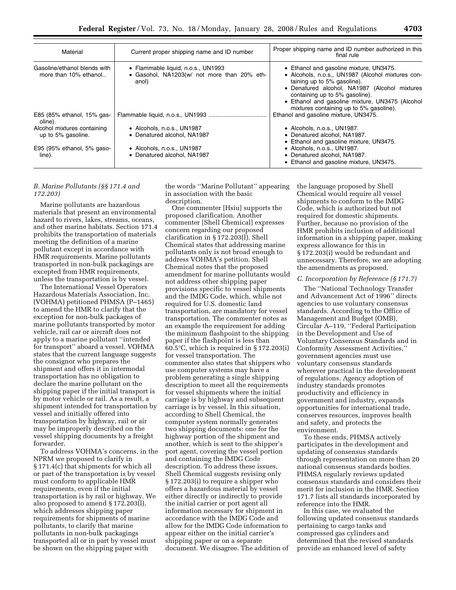| Material                                                                                  | Current proper shipping name and ID number                                                                             | Proper shipping name and ID number authorized in this<br>final rule                                                                                                                                                                                                                                          |
|-------------------------------------------------------------------------------------------|------------------------------------------------------------------------------------------------------------------------|--------------------------------------------------------------------------------------------------------------------------------------------------------------------------------------------------------------------------------------------------------------------------------------------------------------|
| Gasoline/ethanol blends with<br>more than 10% ethanol                                     | • Flammable liquid, n.o.s., UN1993<br>• Gasohol, NA1203(w/ not more than 20% eth-<br>anol)                             | • Ethanol and gasoline mixture, UN3475.<br>• Alcohols, n.o.s., UN1987 (Alcohol mixtures con-<br>taining up to 5% gasoline).<br>• Denatured alcohol, NA1987 (Alcohol mixtures<br>containing up to 5% gasoline).<br>• Ethanol and gasoline mixture, UN3475 (Alcohol<br>mixtures containing up to 5% gasoline). |
| E85 (85% ethanol, 15% gas-<br>oline).                                                     |                                                                                                                        | Ethanol and gasoline mixture, UN3475.                                                                                                                                                                                                                                                                        |
| Alcohol mixtures containing<br>up to 5% gasoline.<br>E95 (95% ethanol, 5% gaso-<br>line). | • Alcohols, n.o.s., UN1987<br>• Denatured alcohol, NA1987<br>• Alcohols, n.o.s., UN1987<br>• Denatured alcohol. NA1987 | $\bullet$ Alcohols, n.o.s., UN1987.<br>• Denatured alcohol, NA1987.<br>• Ethanol and gasoline mixture, UN3475.<br>• Alcohols, n.o.s., UN1987.<br>• Denatured alcohol. NA1987.<br>• Ethanol and gasoline mixture, UN3475.                                                                                     |

### *B. Marine Pollutants (§§ 171.4 and 172.203)*

Marine pollutants are hazardous materials that present an environmental hazard to rivers, lakes, streams, oceans, and other marine habitats. Section 171.4 prohibits the transportation of materials meeting the definition of a marine pollutant except in accordance with HMR requirements. Marine pollutants transported in non-bulk packagings are excepted from HMR requirements, unless the transportation is by vessel.

The International Vessel Operators Hazardous Materials Association, Inc. (VOHMA) petitioned PHMSA (P–1465) to amend the HMR to clarify that the exception for non-bulk packages of marine pollutants transported by motor vehicle, rail car or aircraft does not apply to a marine pollutant ''intended for transport'' aboard a vessel. VOHMA states that the current language suggests the consignor who prepares the shipment and offers it in intermodal transportation has no obligation to declare the marine pollutant on the shipping paper if the initial transport is by motor vehicle or rail. As a result, a shipment intended for transportation by vessel and initially offered into transportation by highway, rail or air may be improperly described on the vessel shipping documents by a freight forwarder.

To address VOHMA's concerns, in the NPRM we proposed to clarify in § 171.4(c) that shipments for which all or part of the transportation is by vessel must conform to applicable HMR requirements, even if the initial transportation is by rail or highway. We also proposed to amend § 172.203(l), which addresses shipping paper requirements for shipments of marine pollutants, to clarify that marine pollutants in non-bulk packagings transported all or in part by vessel must be shown on the shipping paper with

the words ''Marine Pollutant'' appearing in association with the basic description.

One commenter [Hsiu] supports the proposed clarification. Another commenter [Shell Chemical] expresses concern regarding our proposed clarification in § 172.203(l). Shell Chemical states that addressing marine pollutants only is not broad enough to address VOHMA's petition. Shell Chemical notes that the proposed amendment for marine pollutants would not address other shipping paper provisions specific to vessel shipments and the IMDG Code, which, while not required for U.S. domestic land transportation, are mandatory for vessel transportation. The commenter notes as an example the requirement for adding the minimum flashpoint to the shipping paper if the flashpoint is less than  $60.5^{\circ}$ C, which is required in § 172.203(i) for vessel transportation. The commenter also states that shippers who use computer systems may have a problem generating a single shipping description to meet all the requirements for vessel shipments where the initial carriage is by highway and subsequent carriage is by vessel. In this situation, according to Shell Chemical, the computer system normally generates two shipping documents: one for the highway portion of the shipment and another, which is sent to the shipper's port agent, covering the vessel portion and containing the IMDG Code description. To address these issues, Shell Chemical suggests revising only § 172.203(i) to require a shipper who offers a hazardous material by vessel either directly or indirectly to provide the initial carrier or port agent all information necessary for shipment in accordance with the IMDG Code and allow for the IMDG Code information to appear either on the initial carrier's shipping paper or on a separate document. We disagree. The addition of

the language proposed by Shell Chemical would require all vessel shipments to conform to the IMDG Code, which is authorized but not required for domestic shipments. Further, because no provision of the HMR prohibits inclusion of additional information in a shipping paper, making express allowance for this in § 172.203(i) would be redundant and unnecessary. Therefore, we are adopting the amendments as proposed.

#### *C. Incorporation by Reference (§ 171.7)*

The ''National Technology Transfer and Advancement Act of 1996'' directs agencies to use voluntary consensus standards. According to the Office of Management and Budget (OMB), Circular A–119, ''Federal Participation in the Development and Use of Voluntary Consensus Standards and in Conformity Assessment Activities,'' government agencies must use voluntary consensus standards wherever practical in the development of regulations. Agency adoption of industry standards promotes productivity and efficiency in government and industry, expands opportunities for international trade, conserves resources, improves health and safety, and protects the environment.

To these ends, PHMSA actively participates in the development and updating of consensus standards through representation on more than 20 national consensus standards bodies. PHMSA regularly reviews updated consensus standards and considers their merit for inclusion in the HMR. Section 171.7 lists all standards incorporated by reference into the HMR.

In this case, we evaluated the following updated consensus standards pertaining to cargo tanks and compressed gas cylinders and determined that the revised standards provide an enhanced level of safety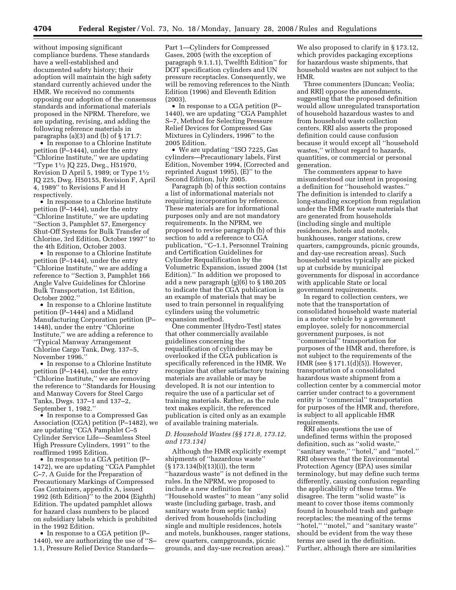without imposing significant compliance burdens. These standards have a well-established and documented safety history; their adoption will maintain the high safety standard currently achieved under the HMR. We received no comments opposing our adoption of the consensus standards and informational materials proposed in the NPRM. Therefore, we are updating, revising, and adding the following reference materials in paragraphs (a)(3) and (b) of § 171.7:

• In response to a Chlorine Institute petition (P–1444), under the entry 'Chlorine Institute," we are updating ''Type 11⁄2 JQ 225, Dwg., H51970, Revision D April 5, 1989; or Type  $1\frac{1}{2}$ JQ 225, Dwg. H50155, Revision F, April 4, 1989'' to Revisions F and H respectively.

• In response to a Chlorine Institute petition (P–1444), under the entry ''Chlorine Institute,'' we are updating ''Section 3, Pamphlet 57, Emergency Shut-Off Systems for Bulk Transfer of Chlorine, 3rd Edition, October 1997'' to the 4th Edition, October 2003.

• In response to a Chlorine Institute petition (P–1444), under the entry 'Chlorine Institute,'' we are adding a reference to ''Section 3, Pamphlet 166 Angle Valve Guidelines for Chlorine Bulk Transportation, 1st Edition, October 2002.''

• In response to a Chlorine Institute petition (P–1444) and a Midland Manufacturing Corporation petition (P– 1448), under the entry ''Chlorine Institute,'' we are adding a reference to ''Typical Manway Arrangement Chlorine Cargo Tank, Dwg. 137–5, November 1996.''

• In response to a Chlorine Institute petition (P–1444), under the entry ''Chlorine Institute,'' we are removing the reference to ''Standards for Housing and Manway Covers for Steel Cargo Tanks, Dwgs. 137–1 and 137–2, September 1, 1982.''

• In response to a Compressed Gas Association (CGA) petition (P–1482), we are updating ''CGA Pamphlet C–5 Cylinder Service Life—Seamless Steel High Pressure Cylinders, 1991'' to the reaffirmed 1995 Edition.

• In response to a CGA petition (P-1472), we are updating ''CGA Pamphlet C–7, A Guide for the Preparation of Precautionary Markings of Compressed Gas Containers, appendix A, issued 1992 (6th Edition)'' to the 2004 (Eighth) Edition. The updated pamphlet allows for hazard class numbers to be placed on subsidiary labels which is prohibited in the 1992 Edition.

• In response to a CGA petition (P– 1440), we are authorizing the use of ''S– 1.1, Pressure Relief Device StandardsPart 1—Cylinders for Compressed Gases, 2005 (with the exception of paragraph 9.1.1.1), Twelfth Edition'' for DOT specification cylinders and UN pressure receptacles. Consequently, we will be removing references to the Ninth Edition (1996) and Eleventh Edition (2003).

• In response to a CGA petition (P– 1440), we are updating ''CGA Pamphlet S–7, Method for Selecting Pressure Relief Devices for Compressed Gas Mixtures in Cylinders, 1996'' to the 2005 Edition.

• We are updating ''ISO 7225, Gas cylinders—Precautionary labels, First Edition, November 1994, (Corrected and reprinted August 1995), (E)'' to the Second Edition, July 2005.

Paragraph (b) of this section contains a list of informational materials not requiring incorporation by reference. These materials are for informational purposes only and are not mandatory requirements. In the NPRM, we proposed to revise paragraph (b) of this section to add a reference to CGA publication, ''C–1.1, Personnel Training and Certification Guidelines for Cylinder Requalification by the Volumetric Expansion, issued 2004 (1st Edition).'' In addition we proposed to add a new paragraph (g)(6) to § 180.205 to indicate that the CGA publication is an example of materials that may be used to train personnel in requalifying cylinders using the volumetric expansion method.

One commenter [Hydro-Test] states that other commercially available guidelines concerning the requalification of cylinders may be overlooked if the CGA publication is specifically referenced in the HMR. We recognize that other satisfactory training materials are available or may be developed. It is not our intention to require the use of a particular set of training materials. Rather, as the rule text makes explicit, the referenced publication is cited only as an example of available training materials.

### *D. Household Wastes (§§ 171.8, 173.12, and 173.134)*

Although the HMR explicitly exempt shipments of ''hazardous waste'' (§ 173.134(b)(13)(i)), the term ''hazardous waste'' is not defined in the rules. In the NPRM, we proposed to include a new definition for ''Household wastes'' to mean ''any solid waste (including garbage, trash, and sanitary waste from septic tanks) derived from households (including single and multiple residences, hotels and motels, bunkhouses, ranger stations, crew quarters, campgrounds, picnic grounds, and day-use recreation areas).''

We also proposed to clarify in § 173.12, which provides packaging exceptions for hazardous waste shipments, that household wastes are not subject to the HMR.

Three commenters [Duncan; Veolia; and RRI] oppose the amendments, suggesting that the proposed definition would allow unregulated transportation of household hazardous wastes to and from household waste collection centers. RRI also asserts the proposed definition could cause confusion because it would except all ''household wastes,'' without regard to hazards, quantities, or commercial or personal generation.

The commenters appear to have misunderstood our intent in proposing a definition for ''household wastes.'' The definition is intended to clarify a long-standing exception from regulation under the HMR for waste materials that are generated from households (including single and multiple residences, hotels and motels, bunkhouses, ranger stations, crew quarters, campgrounds, picnic grounds, and day-use recreation areas). Such household wastes typically are picked up at curbside by municipal governments for disposal in accordance with applicable State or local government requirements.

In regard to collection centers, we note that the transportation of consolidated household waste material in a motor vehicle by a government employee, solely for noncommercial government purposes, is not ''commercial'' transportation for purposes of the HMR and, therefore, is not subject to the requirements of the HMR (see § 171.1(d)(5)). However, transportation of a consolidated hazardous waste shipment from a collection center by a commercial motor carrier under contract to a government entity is ''commercial'' transportation for purposes of the HMR and, therefore, is subject to all applicable HMR requirements.

RRI also questions the use of undefined terms within the proposed definition, such as ''solid waste,'' ''sanitary waste,'' ''hotel,'' and ''motel.'' RRI observes that the Environmental Protection Agency (EPA) uses similar terminology, but may define such terms differently, causing confusion regarding the applicability of these terms. We disagree. The term ''solid waste'' is meant to cover those items commonly found in household trash and garbage receptacles; the meaning of the terms "hotel," "motel," and "sanitary waste" should be evident from the way these terms are used in the definition. Further, although there are similarities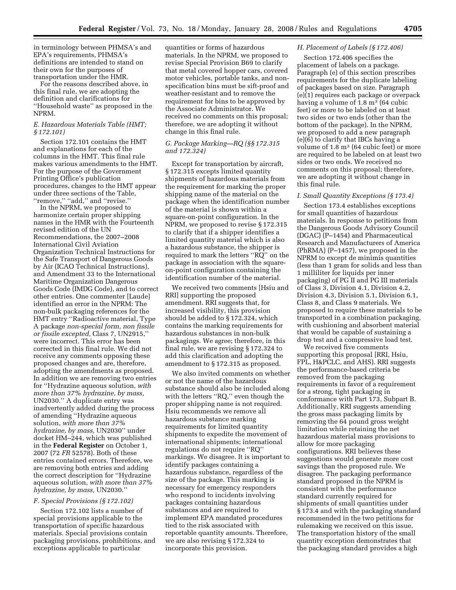in terminology between PHMSA's and EPA's requirements, PHMSA's definitions are intended to stand on their own for the purposes of transportation under the HMR.

For the reasons described above, in this final rule, we are adopting the definition and clarifications for ''Household waste'' as proposed in the NPRM.

### *E. Hazardous Materials Table (HMT; § 172.101)*

Section 172.101 contains the HMT and explanations for each of the columns in the HMT. This final rule makes various amendments to the HMT. For the purpose of the Government Printing Office's publication procedures, changes to the HMT appear under three sections of the Table, ''remove,'' ''add,'' and ''revise.''

In the NPRM, we proposed to harmonize certain proper shipping names in the HMR with the Fourteenth revised edition of the UN Recommendations, the 2007–2008 International Civil Aviation Organization Technical Instructions for the Safe Transport of Dangerous Goods by Air (ICAO Technical Instructions), and Amendment 33 to the International Maritime Organization Dangerous Goods Code (IMDG Code), and to correct other entries. One commenter [Laude] identified an error in the NPRM: The non-bulk packaging references for the HMT entry ''Radioactive material, Type A package *non-special form, non fissile or fissile excepted,* Class 7, UN2915,'' were incorrect. This error has been corrected in this final rule. We did not receive any comments opposing these proposed changes and are, therefore, adopting the amendments as proposed. In addition we are removing two entries for ''Hydrazine aqueous solution, *with more than 37% hydrazine, by mass,*  UN2030.'' A duplicate entry was inadvertently added during the process of amending ''Hydrazine aqueous solution, *with more than 37% hydrazine, by mass,* UN2030'' under docket HM–244, which was published in the **Federal Register** on October 1, 2007 (72 *FR* 52578). Both of these entries contained errors. Therefore, we are removing both entries and adding the correct description for ''Hydrazine aqueous solution, *with more than 37% hydrazine, by mass,* UN2030.''

#### *F. Special Provisions (§ 172.102)*

Section 172.102 lists a number of special provisions applicable to the transportation of specific hazardous materials. Special provisions contain packaging provisions, prohibitions, and exceptions applicable to particular

quantities or forms of hazardous materials. In the NPRM, we proposed to revise Special Provision B69 to clarify that metal covered hopper cars, covered motor vehicles, portable tanks, and nonspecification bins must be sift-proof and weather-resistant and to remove the requirement for bins to be approved by the Associate Administrator. We received no comments on this proposal; therefore, we are adopting it without change in this final rule.

## *G. Package Marking—RQ (§§ 172.315 and 172.324)*

Except for transportation by aircraft, § 172.315 excepts limited quantity shipments of hazardous materials from the requirement for marking the proper shipping name of the material on the package when the identification number of the material is shown within a square-on-point configuration. In the NPRM, we proposed to revise § 172.315 to clarify that if a shipper identifies a limited quantity material which is also a hazardous substance, the shipper is required to mark the letters ''RQ'' on the package in association with the squareon-point configuration containing the identification number of the material.

We received two comments [Hsiu and RRI] supporting the proposed amendment. RRI suggests that, for increased visibility, this provision should be added to § 172.324, which contains the marking requirements for hazardous substances in non-bulk packagings. We agree; therefore, in this final rule, we are revising § 172.324 to add this clarification and adopting the amendment to § 172.315 as proposed.

We also invited comments on whether or not the name of the hazardous substance should also be included along with the letters "RQ," even though the proper shipping name is not required. Hsiu recommends we remove all hazardous substance marking requirements for limited quantity shipments to expedite the movement of international shipments; international regulations do not require ''RQ'' markings. We disagree. It is important to identify packages containing a hazardous substance, regardless of the size of the package. This marking is necessary for emergency responders who respond to incidents involving packages containing hazardous substances and are required to implement EPA mandated procedures tied to the risk associated with reportable quantity amounts. Therefore, we are also revising § 172.324 to incorporate this provision.

### *H. Placement of Labels (§ 172.406)*

Section 172.406 specifies the placement of labels on a package. Paragraph (e) of this section prescribes requirements for the duplicate labeling of packages based on size. Paragraph (e)(1) requires each package or overpack having a volume of  $1.8 \text{ m}^3$  (64 cubic feet) or more to be labeled on at least two sides or two ends (other than the bottom of the package). In the NPRM, we proposed to add a new paragraph (e)(6) to clarify that IBCs having a volume of 1.8 m<sup>3</sup> (64 cubic feet) or more are required to be labeled on at least two sides or two ends. We received no comments on this proposal; therefore, we are adopting it without change in this final rule.

### *I. Small Quantity Exceptions (§ 173.4)*

Section 173.4 establishes exceptions for small quantities of hazardous materials. In response to petitions from the Dangerous Goods Advisory Council (DGAC) (P–1454) and Pharmaceutical Research and Manufacturers of America (PhRMA) (P–1457), we proposed in the NPRM to except de minimis quantities (less than 1 gram for solids and less than 1 milliliter for liquids per inner packaging) of PG II and PG III materials of Class 3, Division 4.1, Division 4.2, Division 4.3, Division 5.1, Division 6.1, Class 8, and Class 9 materials. We proposed to require these materials to be transported in a combination packaging, with cushioning and absorbent material that would be capable of sustaining a drop test and a compressive load test.

We received five comments supporting this proposal [RRI, Hsiu, FPL, H&PCLC, and AHS). RRI suggests the performance-based criteria be removed from the packaging requirements in favor of a requirement for a strong, tight packaging in conformance with Part 173, Subpart B. Additionally, RRI suggests amending the gross mass packaging limits by removing the 64 pound gross weight limitation while retaining the net hazardous material mass provisions to allow for more packaging configurations. RRI believes these suggestions would generate more cost savings than the proposed rule. We disagree. The packaging performance standard proposed in the NPRM is consistent with the performance standard currently required for shipments of small quantities under § 173.4 and with the packaging standard recommended in the two petitions for rulemaking we received on this issue. The transportation history of the small quantity exception demonstrates that the packaging standard provides a high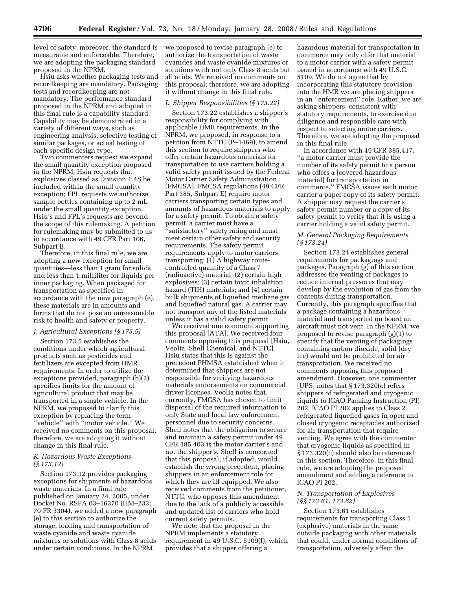level of safety; moreover, the standard is measurable and enforceable. Therefore, we are adopting the packaging standard proposed in the NPRM.

Hsiu asks whether packaging tests and recordkeeping are mandatory. Packaging tests and recordkeeping are not mandatory. The performance standard proposed in the NPRM and adopted in this final rule is a capability standard. Capability may be demonstrated in a variety of different ways, such as engineering analysis, selective testing of similar packages, or actual testing of each specific design type.

Two commenters request we expand the small quantity exception proposed in the NPRM. Hsiu requests that explosives classed as Division 1.4S be included within the small quantity exception; FPL requests we authorize sample bottles containing up to 2 mL under the small quantity exception. Hsiu's and FPL's requests are beyond the scope of this rulemaking. A petition for rulemaking may be submitted to us in accordance with 49 CFR Part 106, Subpart B.

Therefore, in this final rule, we are adopting a new exception for small quantities—less than 1 gram for solids and less than 1 milliliter for liquids per inner packaging. When packaged for transportation as specified in accordance with the new paragraph (e), these materials are in amounts and forms that do not pose an unreasonable risk to health and safety or property.

## *J. Agricultural Exceptions (§ 173.5)*

Section 173.5 establishes the conditions under which agricultural products such as pesticides and fertilizers are excepted from HMR requirements. In order to utilize the exceptions provided, paragraph (b)(2) specifies limits for the amount of agricultural product that may be transported in a single vehicle. In the NPRM, we proposed to clarify this exception by replacing the term ''vehicle'' with ''motor vehicle.'' We received no comments on this proposal; therefore, we are adopting it without change in this final rule.

### *K. Hazardous Waste Exceptions (§ 173.12)*

Section 173.12 provides packaging exceptions for shipments of hazardous waste materials. In a final rule published on January 24, 2005, under Docket No. RSPA 03–16370 (HM–233; 70 FR 3304), we added a new paragraph (e) to this section to authorize the storage, loading and transportation of waste cyanide and waste cyanide mixtures or solutions with Class 8 acids under certain conditions. In the NPRM,

we proposed to revise paragraph (e) to authorize the transportation of waste cyanides and waste cyanide mixtures or solutions with not only Class 8 acids but all acids. We received no comments on this proposal; therefore, we are adopting it without change in this final rule.

### *L. Shipper Responsibilities (§ 173.22)*

Section 173.22 establishes a shipper's responsibility for complying with applicable HMR requirements. In the NPRM, we proposed, in response to a petition from NTTC (P–1469), to amend this section to require shippers who offer certain hazardous materials for transportation to use carriers holding a valid safety permit issued by the Federal Motor Carrier Safety Administration (FMCSA). FMCSA regulations (49 CFR Part 385, Subpart E) require motor carriers transporting certain types and amounts of hazardous materials to apply for a safety permit. To obtain a safety permit, a carrier must have a ''satisfactory'' safety rating and must meet certain other safety and security requirements. The safety permit requirements apply to motor carriers transporting: (1) A highway routecontrolled quantity of a Class 7 (radioactive) material; (2) certain high explosives; (3) certain toxic inhalation hazard (TIH) materials; and (4) certain bulk shipments of liquefied methane gas and liquefied natural gas. A carrier may not transport any of the listed materials unless it has a valid safety permit.

We received one comment supporting this proposal [ATA]. We received four comments opposing this proposal [Hsiu, Veolia, Shell Chemical, and NTTC]. Hsiu states that this is against the precedent PHMSA established when it determined that shippers are not responsible for verifying hazardous materials endorsements on commercial driver licenses. Veolia notes that, currently, FMCSA has chosen to limit dispersal of the required information to only State and local law enforcement personnel due to security concerns. Shell notes that the obligation to secure and maintain a safety permit under 49 CFR 385.403 is the motor carrier's and not the shipper's. Shell is concerned that this proposal, if adopted, would establish the wrong precedent, placing shippers in an enforcement role for which they are ill equipped. We also received comments from the petitioner, NTTC, who opposes this amendment due to the lack of a publicly accessible and updated list of carriers who hold current safety permits.

We note that the proposal in the NPRM implements a statutory requirement in 49 U.S.C. 5109(f), which provides that a shipper offering a

hazardous material for transportation in commerce may only offer that material to a motor carrier with a safety permit issued in accordance with 49 U.S.C. 5109. We do not agree that by incorporating this statutory provision into the HMR we are placing shippers in an ''enforcement'' role. Rather, we are asking shippers, consistent with statutory requirements, to exercise due diligence and responsible care with respect to selecting motor carriers. Therefore, we are adopting the proposal in this final rule.

In accordance with 49 CFR 385.417, ''a motor carrier must provide the number of its safety permit to a person who offers a [covered hazardous material] for transportation in commerce.'' FMCSA issues each motor carrier a paper copy of its safety permit. A shipper may request the carrier's safety permit number or a copy of its safety permit to verify that it is using a carrier holding a valid safety permit.

## *M. General Packaging Requirements (§ 173.24)*

Section 173.24 establishes general requirements for packagings and packages. Paragraph (g) of this section addresses the venting of packages to reduce internal pressures that may develop by the evolution of gas from the contents during transportation. Currently, this paragraph specifies that a package containing a hazardous material and transported on board an aircraft must not vent. In the NPRM, we proposed to revise paragraph (g)(1) to specify that the venting of packagings containing carbon dioxide, solid (dry ice) would not be prohibited for air transportation. We received no comments opposing this proposed amendment. However, one commenter [UPS] notes that § 173.320(c) refers shippers of refrigerated and cryogenic liquids to ICAO Packing Instruction (PI) 202. ICAO PI 202 applies to Class 2 refrigerated liquefied gases in open and closed cryogenic receptacles authorized for air transportation that require venting. We agree with the commenter that cryogenic liquids as specified in § 173.320(c) should also be referenced in this section. Therefore, in this final rule, we are adopting the proposed amendment and adding a reference to ICAO PI 202.

## *N. Transportation of Explosives (§§ 173.61, 173.62)*

Section 173.61 establishes requirements for transporting Class 1 (explosive) materials in the same outside packaging with other materials that could, under normal conditions of transportation, adversely affect the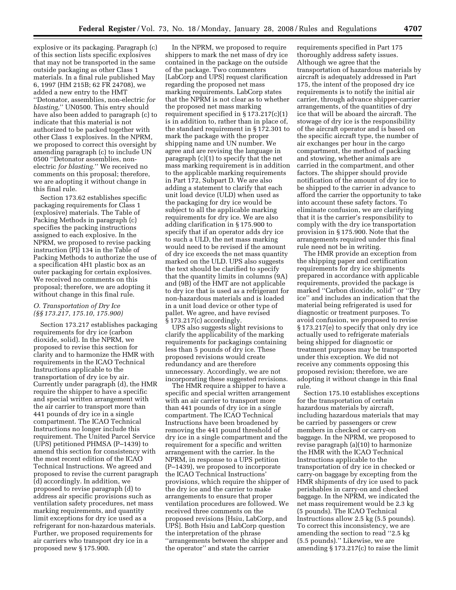explosive or its packaging. Paragraph (c) of this section lists specific explosives that may not be transported in the same outside packaging as other Class 1 materials. In a final rule published May 6, 1997 (HM 215B; 62 FR 24708), we added a new entry to the HMT ''Detonator, assemblies, non-electric *for blasting,*'' UN0500. This entry should have also been added to paragraph (c) to indicate that this material is not authorized to be packed together with other Class 1 explosives. In the NPRM, we proposed to correct this oversight by amending paragraph (c) to include UN 0500 ''Detonator assemblies, nonelectric *for blasting.*'' We received no comments on this proposal; therefore, we are adopting it without change in this final rule.

Section 173.62 establishes specific packaging requirements for Class 1 (explosive) materials. The Table of Packing Methods in paragraph (c) specifies the packing instructions assigned to each explosive. In the NPRM, we proposed to revise packing instruction (PI) 134 in the Table of Packing Methods to authorize the use of a specification 4H1 plastic box as an outer packaging for certain explosives. We received no comments on this proposal; therefore, we are adopting it without change in this final rule.

## *O. Transportation of Dry Ice (§§ 173.217, 175.10, 175.900)*

Section 173.217 establishes packaging requirements for dry ice (carbon dioxide, solid). In the NPRM, we proposed to revise this section for clarity and to harmonize the HMR with requirements in the ICAO Technical Instructions applicable to the transportation of dry ice by air. Currently under paragraph (d), the HMR require the shipper to have a specific and special written arrangement with the air carrier to transport more than 441 pounds of dry ice in a single compartment. The ICAO Technical Instructions no longer include this requirement. The United Parcel Service (UPS) petitioned PHMSA (P–1439) to amend this section for consistency with the most recent edition of the ICAO Technical Instructions. We agreed and proposed to revise the current paragraph (d) accordingly. In addition, we proposed to revise paragraph (d) to address air specific provisions such as ventilation safety procedures, net mass marking requirements, and quantity limit exceptions for dry ice used as a refrigerant for non-hazardous materials. Further, we proposed requirements for air carriers who transport dry ice in a proposed new § 175.900.

In the NPRM, we proposed to require shippers to mark the net mass of dry ice contained in the package on the outside of the package. Two commenters [LabCorp and UPS] request clarification regarding the proposed net mass marking requirements. LabCorp states that the NPRM is not clear as to whether the proposed net mass marking requirement specified in § 173.217(c)(1) is in addition to, rather than in place of, the standard requirement in § 172.301 to mark the package with the proper shipping name and UN number. We agree and are revising the language in paragraph (c)(1) to specify that the net mass marking requirement is in addition to the applicable marking requirements in Part 172, Subpart D. We are also adding a statement to clarify that each unit load device (ULD) when used as the packaging for dry ice would be subject to all the applicable marking requirements for dry ice. We are also adding clarification in § 175.900 to specify that if an operator adds dry ice to such a ULD, the net mass marking would need to be revised if the amount of dry ice exceeds the net mass quantity marked on the ULD. UPS also suggests the text should be clarified to specify that the quantity limits in columns (9A) and (9B) of the HMT are not applicable to dry ice that is used as a refrigerant for non-hazardous materials and is loaded in a unit load device or other type of pallet. We agree, and have revised § 173.217(c) accordingly.

UPS also suggests slight revisions to clarify the applicability of the marking requirements for packagings containing less than 5 pounds of dry ice. These proposed revisions would create redundancy and are therefore unnecessary. Accordingly, we are not incorporating these suggested revisions.

The HMR require a shipper to have a specific and special written arrangement with an air carrier to transport more than 441 pounds of dry ice in a single compartment. The ICAO Technical Instructions have been broadened by removing the 441 pound threshold of dry ice in a single compartment and the requirement for a specific and written arrangement with the carrier. In the NPRM, in response to a UPS petition (P–1439), we proposed to incorporate the ICAO Technical Instructions' provisions, which require the shipper of the dry ice and the carrier to make arrangements to ensure that proper ventilation procedures are followed. We received three comments on the proposed revisions [Hsiu, LabCorp, and UPS]. Both Hsiu and LabCorp question the interpretation of the phrase ''arrangements between the shipper and the operator'' and state the carrier

requirements specified in Part 175 thoroughly address safety issues. Although we agree that the transportation of hazardous materials by aircraft is adequately addressed in Part 175, the intent of the proposed dry ice requirements is to notify the initial air carrier, through advance shipper-carrier arrangements, of the quantities of dry ice that will be aboard the aircraft. The stowage of dry ice is the responsibility of the aircraft operator and is based on the specific aircraft type, the number of air exchanges per hour in the cargo compartment, the method of packing and stowing, whether animals are carried in the compartment, and other factors. The shipper should provide notification of the amount of dry ice to be shipped to the carrier in advance to afford the carrier the opportunity to take into account these safety factors. To eliminate confusion, we are clarifying that it is the carrier's responsibility to comply with the dry ice transportation provision in § 175.900. Note that the arrangements required under this final rule need not be in writing.

The HMR provide an exception from the shipping paper and certification requirements for dry ice shipments prepared in accordance with applicable requirements, provided the package is marked ''Carbon dioxide, solid'' or ''Dry ice'' and includes an indication that the material being refrigerated is used for diagnostic or treatment purposes. To avoid confusion, we proposed to revise § 173.217(e) to specify that only dry ice actually used to refrigerate materials being shipped for diagnostic or treatment purposes may be transported under this exception. We did not receive any comments opposing this proposed revision; therefore, we are adopting it without change in this final rule.

Section 175.10 establishes exceptions for the transportation of certain hazardous materials by aircraft, including hazardous materials that may be carried by passengers or crew members in checked or carry-on baggage. In the NPRM, we proposed to revise paragraph (a)(10) to harmonize the HMR with the ICAO Technical Instructions applicable to the transportation of dry ice in checked or carry-on baggage by excepting from the HMR shipments of dry ice used to pack perishables in carry-on and checked baggage. In the NPRM, we indicated the net mass requirement would be 2.3 kg (5 pounds). The ICAO Technical Instructions allow 2.5 kg (5.5 pounds). To correct this inconsistency, we are amending the section to read ''2.5 kg (5.5 pounds).'' Likewise, we are amending § 173.217(c) to raise the limit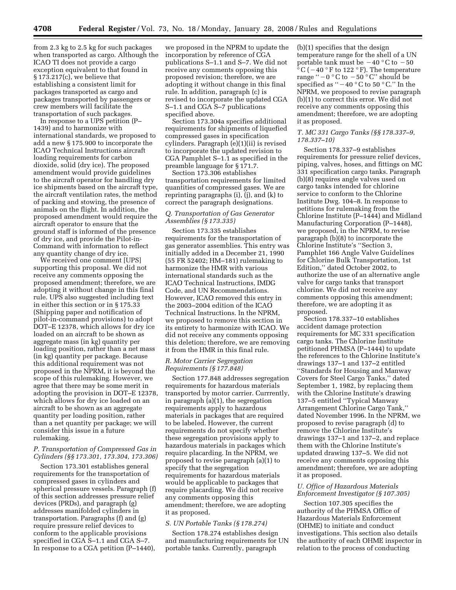from 2.3 kg to 2.5 kg for such packages when transported as cargo. Although the ICAO TI does not provide a cargo exception equivalent to that found in § 173.217(c), we believe that establishing a consistent limit for packages transported as cargo and packages transported by passengers or crew members will facilitate the transportation of such packages.

In response to a UPS petition (P– 1439) and to harmonize with international standards, we proposed to add a new § 175.900 to incorporate the ICAO Technical Instructions aircraft loading requirements for carbon dioxide, solid (dry ice). The proposed amendment would provide guidelines to the aircraft operator for handling dry ice shipments based on the aircraft type, the aircraft ventilation rates, the method of packing and stowing, the presence of animals on the flight. In addition, the proposed amendment would require the aircraft operator to ensure that the ground staff is informed of the presence of dry ice, and provide the Pilot-in-Command with information to reflect any quantity change of dry ice.

We received one comment [UPS] supporting this proposal. We did not receive any comments opposing the proposed amendment; therefore, we are adopting it without change in this final rule. UPS also suggested including text in either this section or in § 175.33 (Shipping paper and notification of pilot-in-command provisions) to adopt DOT–E 12378, which allows for dry ice loaded on an aircraft to be shown as aggregate mass (in kg) quantity per loading position, rather than a net mass (in kg) quantity per package. Because this additional requirement was not proposed in the NPRM, it is beyond the scope of this rulemaking. However, we agree that there may be some merit in adopting the provision in DOT–E 12378, which allows for dry ice loaded on an aircraft to be shown as an aggregate quantity per loading position, rather than a net quantity per package; we will consider this issue in a future rulemaking.

## *P. Transportation of Compressed Gas in Cylinders (§§ 173.301, 173.304, 173.306)*

Section 173.301 establishes general requirements for the transportation of compressed gases in cylinders and spherical pressure vessels. Paragraph (f) of this section addresses pressure relief devices (PRDs), and paragraph (g) addresses manifolded cylinders in transportation. Paragraphs (f) and (g) require pressure relief devices to conform to the applicable provisions specified in CGA S–1.1 and CGA S–7. In response to a CGA petition (P–1440),

we proposed in the NPRM to update the incorporation by reference of CGA publications S–1.1 and S–7. We did not receive any comments opposing this proposed revision; therefore, we are adopting it without change in this final rule. In addition, paragraph (c) is revised to incorporate the updated CGA S–1.1 and CGA S–7 publications specified above.

Section 173.304a specifies additional requirements for shipments of liquefied compressed gases in specification cylinders. Paragraph (e)(1)(ii) is revised to incorporate the updated revision to CGA Pamphlet S–1.1 as specified in the preamble language for § 171.7.

Section 173.306 establishes transportation requirements for limited quantities of compressed gases. We are reprinting paragraphs (i), (j), and (k) to correct the paragraph designations.

## *Q. Transportation of Gas Generator Assemblies (§ 173.335)*

Section 173.335 establishes requirements for the transportation of gas generator assemblies. This entry was initially added in a December 21, 1990 (55 FR 52402; HM–181) rulemaking to harmonize the HMR with various international standards such as the ICAO Technical Instructions, IMDG Code, and UN Recommendations. However, ICAO removed this entry in the 2003–2004 edition of the ICAO Technical Instructions. In the NPRM, we proposed to remove this section in its entirety to harmonize with ICAO. We did not receive any comments opposing this deletion; therefore, we are removing it from the HMR in this final rule.

## *R. Motor Carrier Segregation Requirements (§ 177.848)*

Section 177.848 addresses segregation requirements for hazardous materials transported by motor carrier. Currrently, in paragraph (a)(1), the segregation requirements apply to hazardous materials in packages that are required to be labeled. However, the current requirements do not specify whether these segregation provisions apply to hazardous materials in packages which require placarding. In the NPRM, we proposed to revise paragraph (a)(1) to specify that the segregation requirements for hazardous materials would be applicable to packages that require placarding. We did not receive any comments opposing this amendment; therefore, we are adopting it as proposed.

## *S. UN Portable Tanks (§ 178.274)*

Section 178.274 establishes design and manufacturing requirements for UN portable tanks. Currently, paragraph

(b)(1) specifies that the design temperature range for the shell of a UN portable tank must be  $-40$  °C to  $-50$  $\mathrm{^{16}C}$  ( – 40  $\mathrm{^{\circ}F}$  to 122  $\mathrm{^{\circ}F}$ ). The temperature range " $-0$  °C to  $-50$  °C" should be specified as  $-40$  °C to 50 °C." In the NPRM, we proposed to revise paragraph (b)(1) to correct this error. We did not receive any comments opposing this amendment; therefore, we are adopting it as proposed.

### *T. MC 331 Cargo Tanks (§§ 178.337–9, 178.337–10)*

Section 178.337–9 establishes requirements for pressure relief devices, piping, valves, hoses, and fittings on MC 331 specification cargo tanks. Paragraph (b)(8) requires angle valves used on cargo tanks intended for chlorine service to conform to the Chlorine Institute Dwg. 104–8. In response to petitions for rulemaking from the Chlorine Institute (P–1444) and Midland Manufacturing Corporation (P–1448), we proposed, in the NPRM, to revise paragraph (b)(8) to incorporate the Chlorine Institute's ''Section 3, Pamphlet 166 Angle Valve Guidelines for Chlorine Bulk Transportation, 1st Edition,'' dated October 2002, to authorize the use of an alternative angle valve for cargo tanks that transport chlorine. We did not receive any comments opposing this amendment; therefore, we are adopting it as proposed.

Section 178.337–10 establishes accident damage protection requirements for MC 331 specification cargo tanks. The Chlorine Institute petitioned PHMSA (P–1444) to update the references to the Chlorine Institute's drawings 137–1 and 137–2 entitled ''Standards for Housing and Manway Covers for Steel Cargo Tanks,'' dated September 1, 1982, by replacing them with the Chlorine Institute's drawing 137–5 entitled ''Typical Manway Arrangement Chlorine Cargo Tank,'' dated November 1996. In the NPRM, we proposed to revise paragraph (d) to remove the Chlorine Institute's drawings 137–1 and 137–2, and replace them with the Chlorine Institute's updated drawing 137–5. We did not receive any comments opposing this amendment; therefore, we are adopting it as proposed.

## *U. Office of Hazardous Materials Enforcement Investigator (§ 107.305)*

Section 107.305 specifies the authority of the PHMSA Office of Hazardous Materials Enforcement (OHME) to initiate and conduct investigations. This section also details the authority of each OHME inspector in relation to the process of conducting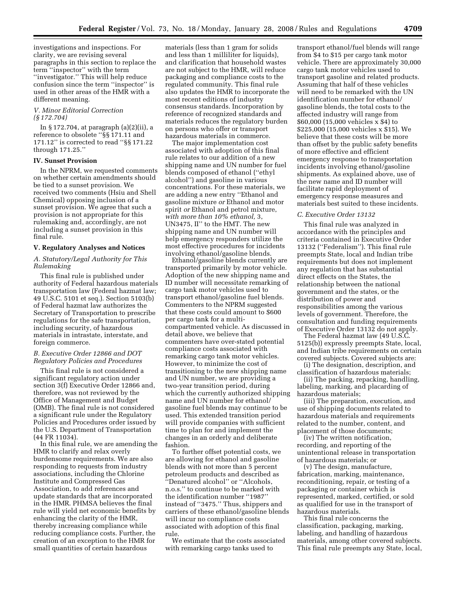investigations and inspections. For clarity, we are revising several paragraphs in this section to replace the term ''inspector'' with the term ''investigator.'' This will help reduce confusion since the term ''inspector'' is used in other areas of the HMR with a different meaning.

### *V. Minor Editorial Correction (§ 172.704)*

In § 172.704, at paragraph (a)(2)(ii), a reference to obsolete ''§§ 171.11 and 171.12'' is corrected to read ''§§ 171.22 through 171.25.''

### **IV. Sunset Provision**

In the NPRM, we requested comments on whether certain amendments should be tied to a sunset provision. We received two comments (Hsiu and Shell Chemical) opposing inclusion of a sunset provision. We agree that such a provision is not appropriate for this rulemaking and, accordingly, are not including a sunset provision in this final rule.

#### **V. Regulatory Analyses and Notices**

## *A. Statutory/Legal Authority for This Rulemaking*

This final rule is published under authority of Federal hazardous materials transportation law (Federal hazmat law; 49 U.S.C. 5101 et seq.). Section 5103(b) of Federal hazmat law authorizes the Secretary of Transportation to prescribe regulations for the safe transportation, including security, of hazardous materials in intrastate, interstate, and foreign commerce.

### *B. Executive Order 12866 and DOT Regulatory Policies and Procedures*

This final rule is not considered a significant regulatory action under section 3(f) Executive Order 12866 and, therefore, was not reviewed by the Office of Management and Budget (OMB). The final rule is not considered a significant rule under the Regulatory Policies and Procedures order issued by the U.S. Department of Transportation (44 FR 11034).

In this final rule, we are amending the HMR to clarify and relax overly burdensome requirements. We are also responding to requests from industry associations, including the Chlorine Institute and Compressed Gas Association, to add references and update standards that are incorporated in the HMR. PHMSA believes the final rule will yield net economic benefits by enhancing the clarity of the HMR, thereby increasing compliance while reducing compliance costs. Further, the creation of an exception to the HMR for small quantities of certain hazardous

materials (less than 1 gram for solids and less than 1 milliliter for liquids), and clarification that household wastes are not subject to the HMR, will reduce packaging and compliance costs to the regulated community. This final rule also updates the HMR to incorporate the most recent editions of industry consensus standards. Incorporation by reference of recognized standards and materials reduces the regulatory burden on persons who offer or transport hazardous materials in commerce.

The major implementation cost associated with adoption of this final rule relates to our addition of a new shipping name and UN number for fuel blends composed of ethanol (''ethyl alcohol'') and gasoline in various concentrations. For these materials, we are adding a new entry ''Ethanol and gasoline mixture *or* Ethanol and motor spirit *or* Ethanol and petrol mixture, *with more than 10% ethanol,* 3, UN3475, II'' to the HMT. The new shipping name and UN number will help emergency responders utilize the most effective procedures for incidents involving ethanol/gasoline blends.

Ethanol/gasoline blends currently are transported primarily by motor vehicle. Adoption of the new shipping name and ID number will necessitate remarking of cargo tank motor vehicles used to transport ethanol/gasoline fuel blends. Commenters to the NPRM suggested that these costs could amount to \$600 per cargo tank for a multicompartmented vehicle. As discussed in detail above, we believe that commenters have over-stated potential compliance costs associated with remarking cargo tank motor vehicles. However, to minimize the cost of transitioning to the new shipping name and UN number, we are providing a two-year transition period, during which the currently authorized shipping name and UN number for ethanol/ gasoline fuel blends may continue to be used. This extended transition period will provide companies with sufficient time to plan for and implement the changes in an orderly and deliberate fashion.

To further offset potential costs, we are allowing for ethanol and gasoline blends with not more than 5 percent petroleum products and described as ''Denatured alcohol'' or ''Alcohols, n.o.s.'' to continue to be marked with the identification number ''1987'' instead of ''3475.'' Thus, shippers and carriers of these ethanol/gasoline blends will incur no compliance costs associated with adoption of this final rule.

We estimate that the costs associated with remarking cargo tanks used to

transport ethanol/fuel blends will range from \$4 to \$15 per cargo tank motor vehicle. There are approximately 30,000 cargo tank motor vehicles used to transport gasoline and related products. Assuming that half of these vehicles will need to be remarked with the UN identification number for ethanol/ gasoline blends, the total costs to the affected industry will range from \$60,000 (15,000 vehicles x \$4) to \$225,000 (15,000 vehicles x \$15). We believe that these costs will be more than offset by the public safety benefits of more effective and efficient emergency response to transportation incidents involving ethanol/gasoline shipments. As explained above, use of the new name and ID number will facilitate rapid deployment of emergency response measures and materials best suited to these incidents.

#### *C. Executive Order 13132*

This final rule was analyzed in accordance with the principles and criteria contained in Executive Order 13132 (''Federalism''). This final rule preempts State, local and Indian tribe requirements but does not implement any regulation that has substantial direct effects on the States, the relationship between the national government and the states, or the distribution of power and responsibilities among the various levels of government. Therefore, the consultation and funding requirements of Executive Order 13132 do not apply.

The Federal hazmat law (49 U.S.C. 5125(b)) expressly preempts State, local, and Indian tribe requirements on certain covered subjects. Covered subjects are:

(i) The designation, description, and classification of hazardous materials;

(ii) The packing, repacking, handling, labeling, marking, and placarding of hazardous materials;

(iii) The preparation, execution, and use of shipping documents related to hazardous materials and requirements related to the number, content, and placement of those documents;

(iv) The written notification, recording, and reporting of the unintentional release in transportation of hazardous materials; or

(v) The design, manufacture, fabrication, marking, maintenance, reconditioning, repair, or testing of a packaging or container which is represented, marked, certified, or sold as qualified for use in the transport of hazardous materials.

This final rule concerns the classification, packaging, marking, labeling, and handling of hazardous materials, among other covered subjects. This final rule preempts any State, local,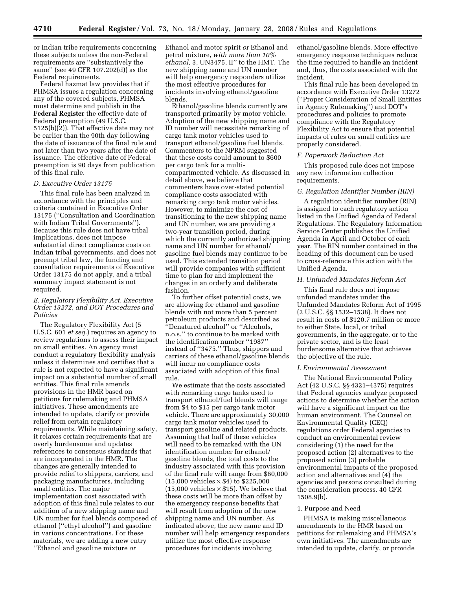or Indian tribe requirements concerning these subjects unless the non-Federal requirements are ''substantively the same'' (see 49 CFR 107.202(d)) as the Federal requirements.

Federal hazmat law provides that if PHMSA issues a regulation concerning any of the covered subjects, PHMSA must determine and publish in the **Federal Register** the effective date of Federal preemption (49 U.S.C. 5125(b)(2)). That effective date may not be earlier than the 90th day following the date of issuance of the final rule and not later than two years after the date of issuance. The effective date of Federal preemption is 90 days from publication of this final rule.

### *D. Executive Order 13175*

This final rule has been analyzed in accordance with the principles and criteria contained in Executive Order 13175 (''Consultation and Coordination with Indian Tribal Governments''). Because this rule does not have tribal implications, does not impose substantial direct compliance costs on Indian tribal governments, and does not preempt tribal law, the funding and consultation requirements of Executive Order 13175 do not apply, and a tribal summary impact statement is not required.

## *E. Regulatory Flexibility Act, Executive Order 13272, and DOT Procedures and Policies*

The Regulatory Flexibility Act (5 U.S.C. 601 *et seq.*) requires an agency to review regulations to assess their impact on small entities. An agency must conduct a regulatory flexibility analysis unless it determines and certifies that a rule is not expected to have a significant impact on a substantial number of small entities. This final rule amends provisions in the HMR based on petitions for rulemaking and PHMSA initiatives. These amendments are intended to update, clarify or provide relief from certain regulatory requirements. While maintaining safety, it relaxes certain requirements that are overly burdensome and updates references to consensus standards that are incorporated in the HMR. The changes are generally intended to provide relief to shippers, carriers, and packaging manufacturers, including small entities. The major implementation cost associated with adoption of this final rule relates to our addition of a new shipping name and UN number for fuel blends composed of ethanol (''ethyl alcohol'') and gasoline in various concentrations. For these materials, we are adding a new entry ''Ethanol and gasoline mixture *or* 

Ethanol and motor spirit *or* Ethanol and petrol mixture, *with more than 10% ethanol,* 3, UN3475, II'' to the HMT. The new shipping name and UN number will help emergency responders utilize the most effective procedures for incidents involving ethanol/gasoline blends.

Ethanol/gasoline blends currently are transported primarily by motor vehicle. Adoption of the new shipping name and ID number will necessitate remarking of cargo tank motor vehicles used to transport ethanol/gasoline fuel blends. Commenters to the NPRM suggested that these costs could amount to \$600 per cargo tank for a multicompartmented vehicle. As discussed in detail above, we believe that commenters have over-stated potential compliance costs associated with remarking cargo tank motor vehicles. However, to minimize the cost of transitioning to the new shipping name and UN number, we are providing a two-year transition period, during which the currently authorized shipping name and UN number for ethanol/ gasoline fuel blends may continue to be used. This extended transition period will provide companies with sufficient time to plan for and implement the changes in an orderly and deliberate fashion.

To further offset potential costs, we are allowing for ethanol and gasoline blends with not more than 5 percent petroleum products and described as ''Denatured alcohol'' or ''Alcohols, n.o.s.'' to continue to be marked with the identification number ''1987'' instead of ''3475.'' Thus, shippers and carriers of these ethanol/gasoline blends will incur no compliance costs associated with adoption of this final rule.

We estimate that the costs associated with remarking cargo tanks used to transport ethanol/fuel blends will range from \$4 to \$15 per cargo tank motor vehicle. There are approximately 30,000 cargo tank motor vehicles used to transport gasoline and related products. Assuming that half of these vehicles will need to be remarked with the UN identification number for ethanol/ gasoline blends, the total costs to the industry associated with this provision of the final rule will range from \$60,000  $(15,000$  vehicles  $\times$  \$4) to \$225,000  $(15,000 \text{ vehicles} \times $15)$ . We believe that these costs will be more than offset by the emergency response benefits that will result from adoption of the new shipping name and UN number. As indicated above, the new name and ID number will help emergency responders utilize the most effective response procedures for incidents involving

ethanol/gasoline blends. More effective emergency response techniques reduce the time required to handle an incident and, thus, the costs associated with the incident.

This final rule has been developed in accordance with Executive Order 13272 (''Proper Consideration of Small Entities in Agency Rulemaking'') and DOT's procedures and policies to promote compliance with the Regulatory Flexibility Act to ensure that potential impacts of rules on small entities are properly considered.

### *F. Paperwork Reduction Act*

This proposed rule does not impose any new information collection requirements.

#### *G. Regulation Identifier Number (RIN)*

A regulation identifier number (RIN) is assigned to each regulatory action listed in the Unified Agenda of Federal Regulations. The Regulatory Information Service Center publishes the Unified Agenda in April and October of each year. The RIN number contained in the heading of this document can be used to cross-reference this action with the Unified Agenda.

## *H. Unfunded Mandates Reform Act*

This final rule does not impose unfunded mandates under the Unfunded Mandates Reform Act of 1995 (2 U.S.C. §§ 1532–1538). It does not result in costs of \$120.7 million or more to either State, local, or tribal governments, in the aggregate, or to the private sector, and is the least burdensome alternative that achieves the objective of the rule.

#### *I. Environmental Assessment*

The National Environmental Policy Act (42 U.S.C. §§ 4321–4375) requires that Federal agencies analyze proposed actions to determine whether the action will have a significant impact on the human environment. The Counsel on Environmental Quality (CEQ) regulations order Federal agencies to conduct an environmental review considering (1) the need for the proposed action (2) alternatives to the proposed action (3) probable environmental impacts of the proposed action and alternatives and (4) the agencies and persons consulted during the consideration process. 40 CFR 1508.9(b).

#### 1. Purpose and Need

PHMSA is making miscellaneous amendments to the HMR based on petitions for rulemaking and PHMSA's own initiatives. The amendments are intended to update, clarify, or provide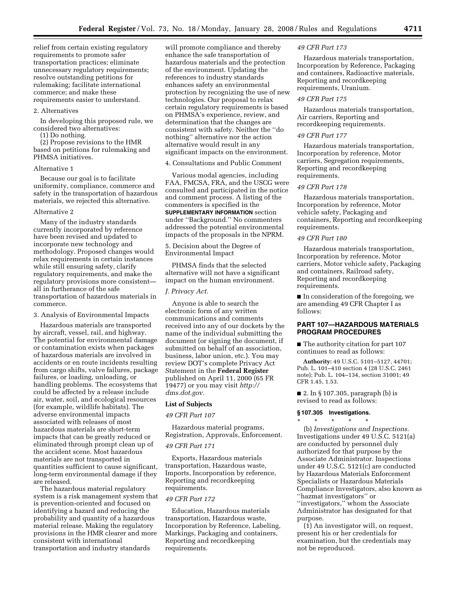relief from certain existing regulatory requirements to promote safer transportation practices; eliminate unnecessary regulatory requirements; resolve outstanding petitions for rulemaking; facilitate international commerce; and make these requirements easier to understand.

#### 2. Alternatives

In developing this proposed rule, we considered two alternatives:

(1) Do nothing.

(2) Propose revisions to the HMR based on petitions for rulemaking and PHMSA initiatives.

#### Alternative 1

Because our goal is to facilitate uniformity, compliance, commerce and safety in the transportation of hazardous materials, we rejected this alternative.

### Alternative 2

Many of the industry standards currently incorporated by reference have been revised and updated to incorporate new technology and methodology. Proposed changes would relax requirements in certain instances while still ensuring safety, clarify regulatory requirements, and make the regulatory provisions more consistent all in furtherance of the safe transportation of hazardous materials in commerce.

3. Analysis of Environmental Impacts

Hazardous materials are transported by aircraft, vessel, rail, and highway. The potential for environmental damage or contamination exists when packages of hazardous materials are involved in accidents or en route incidents resulting from cargo shifts, valve failures, package failures, or loading, unloading, or handling problems. The ecosystems that could be affected by a release include air, water, soil, and ecological resources (for example, wildlife habitats). The adverse environmental impacts associated with releases of most hazardous materials are short-term impacts that can be greatly reduced or eliminated through prompt clean up of the accident scene. Most hazardous materials are not transported in quantities sufficient to cause significant, long-term environmental damage if they are released.

The hazardous material regulatory system is a risk management system that is prevention-oriented and focused on identifying a hazard and reducing the probability and quantity of a hazardous material release. Making the regulatory provisions in the HMR clearer and more consistent with international transportation and industry standards

will promote compliance and thereby enhance the safe transportation of hazardous materials and the protection of the environment. Updating the references to industry standards enhances safety an environmental protection by recognizing the use of new technologies. Our proposal to relax certain regulatory requirements is based on PHMSA's experience, review, and determination that the changes are consistent with safety. Neither the ''do nothing'' alternative nor the action alternative would result in any significant impacts on the environment.

4. Consultations and Public Comment

Various modal agencies, including FAA, FMCSA, FRA, and the USCG were consulted and participated in the notice and comment process. A listing of the commenters is specified in the **SUPPLEMENTARY INFORMATION** section under ''Background.'' No commenters addressed the potential environmental impacts of the proposals in the NPRM.

5. Decision about the Degree of Environmental Impact

PHMSA finds that the selected alternative will not have a significant impact on the human environment.

#### *J. Privacy Act.*

Anyone is able to search the electronic form of any written communications and comments received into any of our dockets by the name of the individual submitting the document (or signing the document, if submitted on behalf of an association, business, labor union, etc.). You may review DOT's complete Privacy Act Statement in the **Federal Register**  published on April 11, 2000 (65 FR 19477) or you may visit *http:// dms.dot.gov.* 

## **List of Subjects**

### *49 CFR Part 107*

Hazardous material programs, Registration, Approvals, Enforcement.

### *49 CFR Part 171*

Exports, Hazardous materials transportation, Hazardous waste, Imports, Incorporation by reference, Reporting and recordkeeping requirements.

## *49 CFR Part 172*

Education, Hazardous materials transportation, Hazardous waste, Incorporation by Reference, Labeling, Markings, Packaging and containers, Reporting and recordkeeping requirements.

### *49 CFR Part 173*

Hazardous materials transportation, Incorporation by Reference, Packaging and containers, Radioactive materials, Reporting and recordkeeping requirements, Uranium.

### *49 CFR Part 175*

Hazardous materials transportation, Air carriers, Reporting and recordkeeping requirements.

## *49 CFR Part 177*

Hazardous materials transportation, Incorporation by reference, Motor carriers, Segregation requirements, Reporting and recordkeeping requirements.

### *49 CFR Part 178*

Hazardous materials transportation, Incorporation by reference, Motor vehicle safety, Packaging and containers, Reporting and recordkeeping requirements.

#### *49 CFR Part 180*

Hazardous materials transportation, Incorporation by reference, Motor carriers, Motor vehicle safety, Packaging and containers, Railroad safety, Reporting and recordkeeping requirements.

■ In consideration of the foregoing, we are amending 49 CFR Chapter I as follows:

## **PART 107—HAZARDOUS MATERIALS PROGRAM PROCEDURES**

■ The authority citation for part 107 continues to read as follows:

**Authority:** 49 U.S.C. 5101–5127, 44701; Pub. L. 101–410 section 4 (28 U.S.C. 2461 note); Pub. L. 104–134, section 31001; 49 CFR 1.45, 1.53.

■ 2. In § 107.305, paragraph (b) is revised to read as follows:

### **§ 107.305 Investigations.**

\* \* \* \* \* (b) *Investigations and Inspections.*  Investigations under 49 U.S.C. 5121(a) are conducted by personnel duly authorized for that purpose by the Associate Administrator. Inspections under 49 U.S.C. 5121(c) are conducted by Hazardous Materials Enforcement Specialists or Hazardous Materials Compliance Investigators, also known as ''hazmat investigators'' or ''investigators,'' whom the Associate Administrator has designated for that purpose.

(1) An investigator will, on request, present his or her credentials for examination, but the credentials may not be reproduced.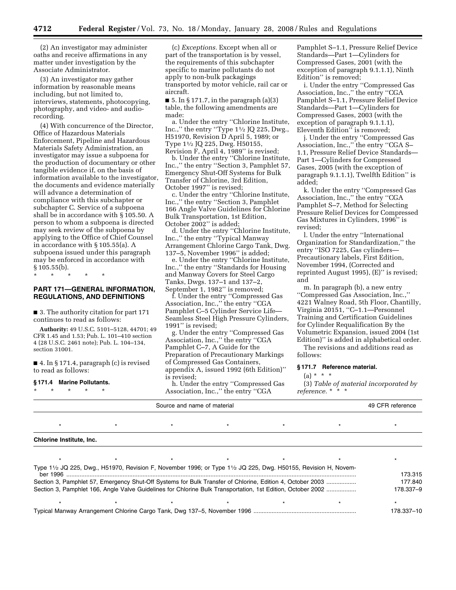(2) An investigator may administer oaths and receive affirmations in any matter under investigation by the Associate Administrator.

(3) An investigator may gather information by reasonable means including, but not limited to, interviews, statements, photocopying, photography, and video- and audiorecording.

(4) With concurrence of the Director, Office of Hazardous Materials Enforcement, Pipeline and Hazardous Materials Safety Administration, an investigator may issue a subpoena for the production of documentary or other tangible evidence if, on the basis of information available to the investigator, the documents and evidence materially will advance a determination of compliance with this subchapter or subchapter C. Service of a subpoena shall be in accordance with § 105.50. A person to whom a subpoena is directed may seek review of the subpoena by applying to the Office of Chief Counsel in accordance with § 105.55(a). A subpoena issued under this paragraph may be enforced in accordance with § 105.55(b).

\* \* \* \* \*

## **PART 171—GENERAL INFORMATION, REGULATIONS, AND DEFINITIONS**

■ 3. The authority citation for part 171 continues to read as follows:

**Authority:** 49 U.S.C. 5101–5128, 44701; 49 CFR 1.45 and 1.53; Pub. L. 101–410 section 4 (28 U.S.C. 2461 note); Pub. L. 104–134, section 31001.

■ 4. In § 171.4, paragraph (c) is revised to read as follows:

#### **§ 171.4 Marine Pollutants.**

\* \* \* \* \*

(c) *Exceptions.* Except when all or part of the transportation is by vessel, the requirements of this subchapter specific to marine pollutants do not apply to non-bulk packagings transported by motor vehicle, rail car or aircraft.

 $\blacksquare$  5. In § 171.7, in the paragraph (a)(3) table, the following amendments are made:

a. Under the entry ''Chlorine Institute, Inc.," the entry "Type  $1\frac{1}{2}$  JQ 225, Dwg., H51970, Revision D April 5, 1989; or Type 11⁄2 JQ 225, Dwg. H50155, Revision F, April 4, 1989'' is revised;

b. Under the entry ''Chlorine Institute, Inc.,'' the entry ''Section 3, Pamphlet 57, Emergency Shut-Off Systems for Bulk Transfer of Chlorine, 3rd Edition, October 1997'' is revised;

c. Under the entry ''Chlorine Institute, Inc.,'' the entry ''Section 3, Pamphlet 166 Angle Valve Guidelines for Chlorine Bulk Transportation, 1st Edition, October 2002'' is added;

d. Under the entry ''Chlorine Institute, Inc.,'' the entry ''Typical Manway Arrangement Chlorine Cargo Tank, Dwg. 137–5, November 1996'' is added;

e. Under the entry ''Chlorine Institute, Inc.,'' the entry ''Standards for Housing and Manway Covers for Steel Cargo Tanks, Dwgs. 137–1 and 137–2, September 1, 1982'' is removed;

f. Under the entry ''Compressed Gas Association, Inc.,'' the entry ''CGA Pamphlet C–5 Cylinder Service Life— Seamless Steel High Pressure Cylinders, 1991'' is revised;

g. Under the entry ''Compressed Gas Association, Inc.,'' the entry ''CGA Pamphlet C–7, A Guide for the Preparation of Precautionary Markings of Compressed Gas Containers, appendix A, issued 1992 (6th Edition)'' is revised;

h. Under the entry ''Compressed Gas Association, Inc.,'' the entry ''CGA

Pamphlet S–1.1, Pressure Relief Device Standards—Part 1—Cylinders for Compressed Gases, 2001 (with the exception of paragraph 9.1.1.1), Ninth Edition'' is removed;

i. Under the entry ''Compressed Gas Association, Inc.,'' the entry ''CGA Pamphlet S–1.1, Pressure Relief Device Standards—Part 1—Cylinders for Compressed Gases, 2003 (with the exception of paragraph 9.1.1.1), Eleventh Edition'' is removed;

j. Under the entry ''Compressed Gas Association, Inc.,'' the entry ''CGA S– 1.1, Pressure Relief Device Standards— Part 1—Cylinders for Compressed Gases, 2005 (with the exception of paragraph 9.1.1.1), Twelfth Edition'' is added;

k. Under the entry ''Compressed Gas Association, Inc.,'' the entry ''CGA Pamphlet S–7, Method for Selecting Pressure Relief Devices for Compressed Gas Mixtures in Cylinders, 1996'' is revised;

l. Under the entry ''International Organization for Standardization,'' the entry ''ISO 7225, Gas cylinders— Precautionary labels, First Edition, November 1994, (Corrected and reprinted August 1995), (E)'' is revised; and

m. In paragraph (b), a new entry ''Compressed Gas Association, Inc.,'' 4221 Walney Road, 5th Floor, Chantilly, Virginia 20151, ''C–1.1—Personnel Training and Certification Guidelines for Cylinder Requalification By the Volumetric Expansion, issued 2004 (1st Edition)'' is added in alphabetical order.

The revisions and additions read as follows:

#### **§ 171.7 Reference material.**

## $(a) * * * *$

(3) *Table of material incorporated by reference.* \* \* \*

| 49 CFR reference<br>Source and name of material |  |                                                                                                             |  |  |  |            |
|-------------------------------------------------|--|-------------------------------------------------------------------------------------------------------------|--|--|--|------------|
|                                                 |  |                                                                                                             |  |  |  |            |
| Chlorine Institute, Inc.                        |  |                                                                                                             |  |  |  |            |
|                                                 |  |                                                                                                             |  |  |  |            |
|                                                 |  | Type 1½ JQ 225, Dwg., H51970, Revision F, November 1996; or Type 1½ JQ 225, Dwg. H50155, Revision H, Novem- |  |  |  | 173.315    |
|                                                 |  | Section 3, Pamphlet 57, Emergency Shut-Off Systems for Bulk Transfer of Chlorine, Edition 4, October 2003   |  |  |  | 177.840    |
|                                                 |  | Section 3, Pamphlet 166, Angle Valve Guidelines for Chlorine Bulk Transportation, 1st Edition, October 2002 |  |  |  | 178.337-9  |
|                                                 |  |                                                                                                             |  |  |  |            |
|                                                 |  |                                                                                                             |  |  |  | 178.337-10 |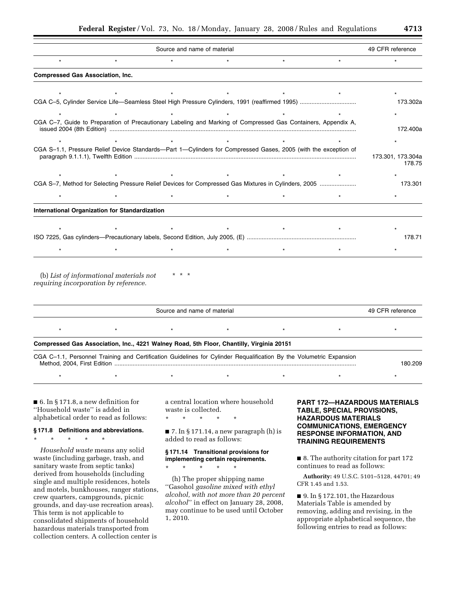| Source and name of material             |                                                       |         |         |                                                                                                                 |         |                             |
|-----------------------------------------|-------------------------------------------------------|---------|---------|-----------------------------------------------------------------------------------------------------------------|---------|-----------------------------|
| $\star$                                 | $\star$                                               | $\star$ | $\star$ | $\star$                                                                                                         | $\star$ |                             |
| <b>Compressed Gas Association, Inc.</b> |                                                       |         |         |                                                                                                                 |         |                             |
|                                         |                                                       |         |         |                                                                                                                 |         |                             |
|                                         |                                                       |         |         |                                                                                                                 |         | 173.302a                    |
|                                         |                                                       |         |         |                                                                                                                 |         |                             |
|                                         |                                                       |         |         | CGA C-7, Guide to Preparation of Precautionary Labeling and Marking of Compressed Gas Containers, Appendix A,   |         | 172.400a                    |
|                                         |                                                       |         |         |                                                                                                                 |         |                             |
|                                         |                                                       |         |         |                                                                                                                 |         |                             |
|                                         |                                                       |         |         | CGA S-1.1, Pressure Relief Device Standards--Part 1-Cylinders for Compressed Gases, 2005 (with the exception of |         | 173.301, 173.304a<br>178.75 |
|                                         |                                                       |         |         |                                                                                                                 |         |                             |
|                                         |                                                       |         |         | CGA S-7, Method for Selecting Pressure Relief Devices for Compressed Gas Mixtures in Cylinders, 2005            |         | 173.301                     |
|                                         |                                                       |         |         |                                                                                                                 |         |                             |
|                                         | <b>International Organization for Standardization</b> |         |         |                                                                                                                 |         |                             |
|                                         |                                                       |         |         |                                                                                                                 |         |                             |
|                                         |                                                       |         |         |                                                                                                                 |         | 178.71                      |

(b) *List of informational materials not requiring incorporation by reference.*  \* \* \*

| Source and name of material |                                                                                                                     |  |  |  |         |  |  |
|-----------------------------|---------------------------------------------------------------------------------------------------------------------|--|--|--|---------|--|--|
|                             | $\star$                                                                                                             |  |  |  |         |  |  |
|                             | Compressed Gas Association, Inc., 4221 Walney Road, 5th Floor, Chantilly, Virginia 20151                            |  |  |  |         |  |  |
|                             | CGA C-1.1, Personnel Training and Certification Guidelines for Cylinder Requalification By the Volumetric Expansion |  |  |  | 180.209 |  |  |

\* \* \* \* \* \* \* \* \* \* \* \* \* \* \*

■ 6. In § 171.8, a new definition for ''Household waste'' is added in alphabetical order to read as follows:

## **§ 171.8 Definitions and abbreviations.**

\* \* \* \* \*

*Household waste* means any solid waste (including garbage, trash, and sanitary waste from septic tanks) derived from households (including single and multiple residences, hotels and motels, bunkhouses, ranger stations, crew quarters, campgrounds, picnic grounds, and day-use recreation areas). This term is not applicable to consolidated shipments of household hazardous materials transported from collection centers. A collection center is

a central location where household waste is collected.

\* \* \* \* \*

\* \* \* \* \*

 $\blacksquare$  7. In § 171.14, a new paragraph (h) is added to read as follows:

## **§ 171.14 Transitional provisions for implementing certain requirements.**

(h) The proper shipping name ''Gasohol *gasoline mixed with ethyl alcohol, with not more than 20 percent alcohol*'' in effect on January 28, 2008, may continue to be used until October 1, 2010.

## **PART 172—HAZARDOUS MATERIALS TABLE, SPECIAL PROVISIONS, HAZARDOUS MATERIALS COMMUNICATIONS, EMERGENCY RESPONSE INFORMATION, AND TRAINING REQUIREMENTS**

■ 8. The authority citation for part 172 continues to read as follows:

**Authority:** 49 U.S.C. 5101–5128, 44701; 49 CFR 1.45 and 1.53.

■ 9. In § 172.101, the Hazardous Materials Table is amended by removing, adding and revising, in the appropriate alphabetical sequence, the following entries to read as follows: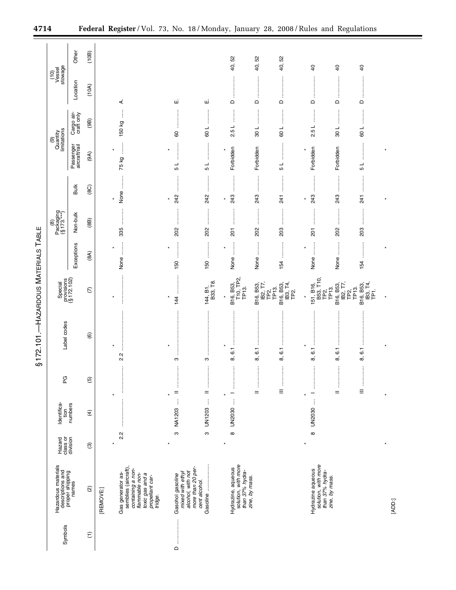|                             |                                                                     | Other                      | (10B)                    |           |                                                                                                                                   |                                                                                |                                                                                                                                                                                                                                                                                                                                    |                                                              |                                                                                                           | 52                                               |                                         |                                                                                                                                                                                                                                                                                                                                    |                                                |  |
|-----------------------------|---------------------------------------------------------------------|----------------------------|--------------------------|-----------|-----------------------------------------------------------------------------------------------------------------------------------|--------------------------------------------------------------------------------|------------------------------------------------------------------------------------------------------------------------------------------------------------------------------------------------------------------------------------------------------------------------------------------------------------------------------------|--------------------------------------------------------------|-----------------------------------------------------------------------------------------------------------|--------------------------------------------------|-----------------------------------------|------------------------------------------------------------------------------------------------------------------------------------------------------------------------------------------------------------------------------------------------------------------------------------------------------------------------------------|------------------------------------------------|--|
|                             | $\frac{(10)}{\text{Vessel}}$<br>stowage                             |                            |                          |           |                                                                                                                                   |                                                                                |                                                                                                                                                                                                                                                                                                                                    | 40, 52                                                       | 40,52                                                                                                     | 40,                                              | $\overline{4}$                          | $\overline{40}$                                                                                                                                                                                                                                                                                                                    | $\overline{4}$                                 |  |
|                             |                                                                     | Location                   | (10A)                    |           | ₹.                                                                                                                                | ш                                                                              | щ                                                                                                                                                                                                                                                                                                                                  | ÷<br>$\Omega$                                                | j<br>$\hfill\square$                                                                                      | $\mathsf \Omega$                                 | $\Omega$                                | ŧ<br>$\hfill\square$                                                                                                                                                                                                                                                                                                               | ŧ<br>$\mathrel{\mathsf{d}}$                    |  |
|                             |                                                                     | Cargo air-<br>craft only   | (98)                     |           | 150 kg                                                                                                                            | 80                                                                             | ┙<br>60                                                                                                                                                                                                                                                                                                                            | 2.5L                                                         | :<br>:<br>:<br>108                                                                                        | 100                                              | 25 L                                    | ÷<br>108                                                                                                                                                                                                                                                                                                                           | :<br>:<br>:<br>:<br>$-100$                     |  |
|                             | (9)<br>Quantity<br>limitations                                      | Passenger<br>aircraft/rail | (9A)                     |           | İ<br>75 kg                                                                                                                        | ×<br>$\frac{1}{5}$                                                             | <b><i><u>Property</u></i></b><br>ل<br>5                                                                                                                                                                                                                                                                                            | Forbidden                                                    | Forbidden                                                                                                 | ÷<br>5 L                                         | Forbidden                               | Forbidden                                                                                                                                                                                                                                                                                                                          | $\frac{1}{5}$                                  |  |
|                             |                                                                     | <b>Bulk</b>                | (8C)                     | $\star$   | None                                                                                                                              | 242<br>¥                                                                       | —<br>;<br>;<br>;<br>242                                                                                                                                                                                                                                                                                                            | <br>243<br>$\star$                                           | <br>243                                                                                                   | 241                                              | 243<br>$\ast$                           | 243                                                                                                                                                                                                                                                                                                                                | <br>241                                        |  |
|                             | $Packaging(§ 173***)$                                               | Non-bulk                   | (88)                     |           | 335                                                                                                                               | 202                                                                            | 202                                                                                                                                                                                                                                                                                                                                | $\frac{1}{2}$<br>201                                         | $\vdots$<br>ŧ<br>202                                                                                      | 203                                              | $\vdots$<br>ŧ<br>$\overline{5}$         | $\vdots$<br>202                                                                                                                                                                                                                                                                                                                    | ļ<br>203                                       |  |
|                             |                                                                     | Exceptions                 | (8A)                     | $\star$   | $\ddot{\ddot{\phantom{}}\phantom{}}$<br>None                                                                                      | <br>$\ast$<br>150                                                              | İ<br>150                                                                                                                                                                                                                                                                                                                           | $\star$<br>None                                              | j<br>None                                                                                                 | 154                                              | $\ddot{\phantom{a}}$<br>$\star$<br>None | None                                                                                                                                                                                                                                                                                                                               | 154                                            |  |
| - HAZARDOUS MATERIALS TABLE | Special<br>provisions<br>(§ 172.102)                                |                            | $\widehat{\in}$          |           |                                                                                                                                   | 144                                                                            | $144, B1,$<br>$B33, T8.$                                                                                                                                                                                                                                                                                                           | B16, B53,<br>T10, TP2,<br>TP13.                              | $\begin{array}{l} \mathsf{IB2}, \mathsf{17}, \\ \mathsf{TP2}, \\ \mathsf{TP13}. \end{array}$<br>B16, B53, | B16, B53,<br>IB3, T4,<br>TP2.                    |                                         | 151, B16,<br>B53, T10,<br>TP2,<br>TP13.<br>IB2, T7,<br>B16, B53,                                                                                                                                                                                                                                                                   | B16, B53,<br>IB3, T4,<br>TP1.<br>TP2,<br>TP13. |  |
| \$172.101                   | Label codes                                                         |                            | $\widehat{\mathbf{e}}$   |           | 22                                                                                                                                | $\pmb{\ast}$<br>S                                                              | ÷<br>S                                                                                                                                                                                                                                                                                                                             | ÷<br>$\overline{6}$ .<br>ထ                                   | İ<br>$\overline{6}$<br>ထ                                                                                  | 6.1<br>$\infty$                                  | ÷<br>ن<br>ف<br>ထົ                       | $\overline{6}$ .<br>ထ                                                                                                                                                                                                                                                                                                              | 6.1<br>$\infty$                                |  |
|                             | ር<br>ቢ                                                              |                            | $\overline{6}$           |           | .<br>.<br>.<br>.<br>.                                                                                                             | :<br>:<br>:<br>$=$<br>¥                                                        | $\begin{bmatrix} 1 & 0 & 0 & 0 \\ 0 & 0 & 0 & 0 \\ 0 & 0 & 0 & 0 \\ 0 & 0 & 0 & 0 \\ 0 & 0 & 0 & 0 \\ 0 & 0 & 0 & 0 \\ 0 & 0 & 0 & 0 & 0 \\ 0 & 0 & 0 & 0 & 0 \\ 0 & 0 & 0 & 0 & 0 \\ 0 & 0 & 0 & 0 & 0 & 0 \\ 0 & 0 & 0 & 0 & 0 & 0 \\ 0 & 0 & 0 & 0 & 0 & 0 & 0 \\ 0 & 0 & 0 & 0 & 0 & 0 & 0 \\ 0 & 0 & 0 & 0 & 0 & 0 & $<br>$=$ | —                                                            | <br>$=$                                                                                                   | $\ddot{\ddot{\phantom{}}\phantom{}}$<br>$\equiv$ | —                                       | $\begin{bmatrix} 1 & 0 & 0 & 0 \\ 0 & 0 & 0 & 0 \\ 0 & 0 & 0 & 0 \\ 0 & 0 & 0 & 0 \\ 0 & 0 & 0 & 0 \\ 0 & 0 & 0 & 0 \\ 0 & 0 & 0 & 0 & 0 \\ 0 & 0 & 0 & 0 & 0 \\ 0 & 0 & 0 & 0 & 0 \\ 0 & 0 & 0 & 0 & 0 & 0 \\ 0 & 0 & 0 & 0 & 0 & 0 \\ 0 & 0 & 0 & 0 & 0 & 0 & 0 \\ 0 & 0 & 0 & 0 & 0 & 0 & 0 \\ 0 & 0 & 0 & 0 & 0 & 0 & $<br>$=$ | $\equiv$                                       |  |
|                             | Identifica-<br>tion                                                 | numbers                    | $\widehat{f}$            |           | $\vdots$                                                                                                                          | $\vdots$<br><b>NA1203</b>                                                      | $\vdots$<br><b>UN1203</b>                                                                                                                                                                                                                                                                                                          | ł<br><b>UN2030</b>                                           |                                                                                                           |                                                  | UN2030                                  |                                                                                                                                                                                                                                                                                                                                    |                                                |  |
|                             | Hazard<br>class or<br>division                                      |                            | $\widehat{\mathfrak{G}}$ |           | 2.2                                                                                                                               | ო                                                                              | ო                                                                                                                                                                                                                                                                                                                                  | $\infty$<br>$\ast$                                           |                                                                                                           |                                                  | $\infty$                                |                                                                                                                                                                                                                                                                                                                                    |                                                |  |
|                             | Hazardous materials<br>descriptions and<br>proper shipping<br>names |                            | $\widehat{\infty}$       | [REMOVE:] | semblies (aircraft),<br>containing a non-<br>Gas generator as-<br>flammable non-<br>toxic gas and a<br>propellant car-<br>tridge. | more than 20 per-<br>alcohol, with not<br>mixed with ethyl<br>Gasohol gasoline | cent alcohol.                                                                                                                                                                                                                                                                                                                      | solution, with more<br>than 37% hydra-<br>Hydrazine, aqueous | zine, by mass.                                                                                            |                                                  | Hydrazine aqueous                       | solution, with more<br>than 37% hydra-<br>zine, by mass.                                                                                                                                                                                                                                                                           |                                                |  |
|                             | Symbols                                                             |                            | $\widehat{\tau}$         |           |                                                                                                                                   | $\Omega$                                                                       |                                                                                                                                                                                                                                                                                                                                    |                                                              |                                                                                                           |                                                  |                                         |                                                                                                                                                                                                                                                                                                                                    |                                                |  |

[ADD:]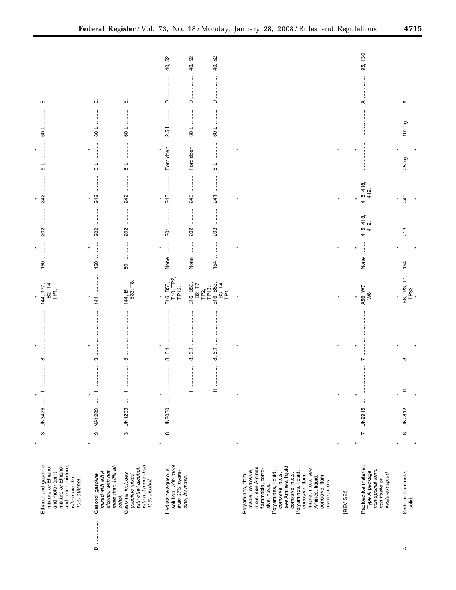| ш                                                                                                                                                              | щі                                                                             | щі                                                                                                         | 40, 52<br>ł<br>$\Omega$                                                       | 40, 52<br>ŧ<br>$\mathsf{\Omega}$ | 40,52<br>$\Box$                                                         |                                                                                                                                                                                                                                                                                                                            |           | 95, 130<br>⋖                                                                                        | ∢                                                                                                                                                                                                                                   |
|----------------------------------------------------------------------------------------------------------------------------------------------------------------|--------------------------------------------------------------------------------|------------------------------------------------------------------------------------------------------------|-------------------------------------------------------------------------------|----------------------------------|-------------------------------------------------------------------------|----------------------------------------------------------------------------------------------------------------------------------------------------------------------------------------------------------------------------------------------------------------------------------------------------------------------------|-----------|-----------------------------------------------------------------------------------------------------|-------------------------------------------------------------------------------------------------------------------------------------------------------------------------------------------------------------------------------------|
| 100                                                                                                                                                            | 109                                                                            | 109                                                                                                        | 2.5 L                                                                         | 108                              | 100                                                                     |                                                                                                                                                                                                                                                                                                                            |           |                                                                                                     | 100 kg                                                                                                                                                                                                                              |
| $\star$<br>┙<br>LO                                                                                                                                             | ┙<br>Б                                                                         | ÷<br>1 5                                                                                                   | Forbidden                                                                     | Forbidden                        | ÷<br>5                                                                  | $\star$                                                                                                                                                                                                                                                                                                                    |           |                                                                                                     | j<br>$\star$<br>25 kg                                                                                                                                                                                                               |
| :<br>242<br>$\star$                                                                                                                                            | <br>242<br>$\ast$                                                              | :<br>:<br>:<br>:<br>242                                                                                    | :<br>:<br>:<br>:<br>243<br>$\pmb{\ast}$                                       | 243                              | $\frac{4}{1}$                                                           | $\star$                                                                                                                                                                                                                                                                                                                    | $\star$   | $415, 418,$<br>$419.$<br>$\ast$                                                                     | 240<br>$\star$                                                                                                                                                                                                                      |
| 202                                                                                                                                                            | 202                                                                            | 202                                                                                                        | 201                                                                           | j<br>202                         | 203                                                                     |                                                                                                                                                                                                                                                                                                                            |           | $415, 418,$<br>$419.$                                                                               | 213                                                                                                                                                                                                                                 |
| $\star$<br>150                                                                                                                                                 | <br>150                                                                        | 50                                                                                                         | $\ddot{\phantom{a}}$<br>$\pmb{\ast}$<br>None                                  | :<br>None                        | .<br>.<br>.<br>.<br>.<br>.<br>154                                       | $\ast$                                                                                                                                                                                                                                                                                                                     |           | $\ddot{}}$<br>None                                                                                  | 154                                                                                                                                                                                                                                 |
| $144, 177,$<br>IB2, T4,<br>TPT.<br>$\star$                                                                                                                     | ¥<br>$\frac{4}{4}$                                                             | $144, B1,$<br>$B33, T8.$                                                                                   | B16, B53,<br>T10, TP2,<br>TP13.                                               |                                  | B16, B53,<br>IB2, T7,<br>TP2,<br>TP13,<br>B16, B53,<br>B13, T4,<br>TP1, | $\star$                                                                                                                                                                                                                                                                                                                    |           | A56, W7,<br>W8.<br>$\star$                                                                          | IB8, IP3, T1,<br>TP33.<br>$\star$                                                                                                                                                                                                   |
|                                                                                                                                                                |                                                                                |                                                                                                            |                                                                               |                                  | j                                                                       |                                                                                                                                                                                                                                                                                                                            |           |                                                                                                     |                                                                                                                                                                                                                                     |
| $\star$<br>ო                                                                                                                                                   | ო                                                                              | ო                                                                                                          | $\overline{6}$ .<br>ထ                                                         | $\overline{6}$<br>$\infty$       | $\overline{6}$<br>ထ                                                     | ×                                                                                                                                                                                                                                                                                                                          |           | Ľ                                                                                                   | $\infty$                                                                                                                                                                                                                            |
| ļ<br>$=$                                                                                                                                                       | ļ<br>$=$<br>$\star$                                                            | ļ<br>$=$                                                                                                   | $\frac{1}{2}$                                                                 | <br>ļ<br>$=$                     | ļ<br>$\equiv$                                                           | $\ast$                                                                                                                                                                                                                                                                                                                     | $\star$   | <br>$\star$                                                                                         | ļ<br>$\star$                                                                                                                                                                                                                        |
| $\vdots$<br>UN3475<br>ო                                                                                                                                        | $\vdots$<br><b>NA1203</b><br>ო                                                 | UN1203<br>ო                                                                                                | UN2030<br>$\infty$                                                            |                                  |                                                                         |                                                                                                                                                                                                                                                                                                                            |           | ŧ<br>UN2915<br>$\overline{ }$                                                                       | UN2812  III<br>$\infty$                                                                                                                                                                                                             |
| $\ast$<br>Ethanol and gasoline<br>mixture or Ethanol<br>and motor spirit<br>mixture <i>or</i> Ethanol<br>and petrol mixture,<br>with more than<br>10% ethanol. | more than 10% al-<br>alcohol, with not<br>Gasohol gasoline<br>mixed with ethyl | with ethyl alcohol,<br>with not more than<br>10% alcohol.<br>Gasoline includes<br>gasoline mixed<br>cohol. | solution, with more<br>than 37% hydra-<br>zine, by mass.<br>Hydrazine aqueous |                                  |                                                                         | $\ast$<br>see Amines, liquid,<br>n.o.s. see Amines,<br>flammable, corro-<br>mable, n.o.s. see<br>mable, corrosive,<br>Polyamines, liquid,<br>Polyamines, liquid<br>corrosive, n.o.s.<br>Polyamines, flam-<br>corrosive, n.o.s.<br>corrosive, flam-<br>corrosive, flam-<br>Amines, liquid,<br>mable, n.o.s.<br>sive, n.o.s. | [REVISE:] | Radioactive material,<br>Type A package<br>non-special form,<br>non fissile or<br>fissile-excepted. | Sodium aluminate,<br>solid.                                                                                                                                                                                                         |
|                                                                                                                                                                | $\mathsf{\Omega}$                                                              |                                                                                                            |                                                                               |                                  |                                                                         |                                                                                                                                                                                                                                                                                                                            |           |                                                                                                     | $[0.15,0.000,0.000,0.000,0.000,0.000,0.000,0.000,0.000,0.000,0.000,0.000,0.000,0.000,0.000,0.000,0.000,0.000,0.000,0.000,0.000,0.000,0.000,0.000,0.000,0.000,0.000,0.000,0.000,0.000,0.000,0.000,0.000,0.000,0.000,0.000,0.00$<br>⋖ |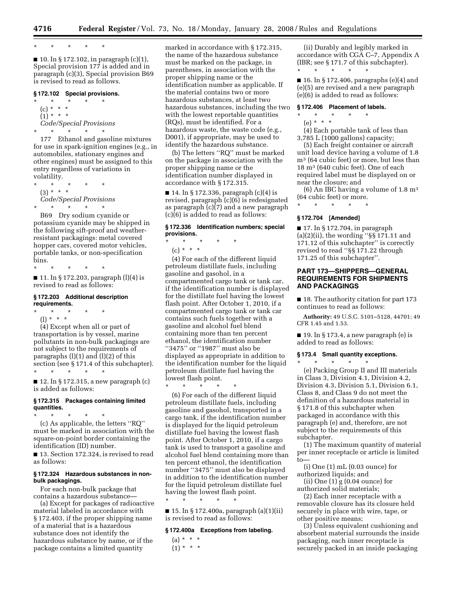\* \* \* \* \*

■ 10. In § 172.102, in paragraph (c)(1), Special provision 177 is added and in paragraph (c)(3), Special provision B69 is revised to read as follows.

### **§ 172.102 Special provisions.**

\* \* \* \* \*  $(c) * * * *$  $(1) * * * *$ *Code/Special Provisions*  \* \* \* \* \*

177 Ethanol and gasoline mixtures for use in spark-ignition engines (e.g., in automobiles, stationary engines and other engines) must be assigned to this entry regardless of variations in volatility.

\* \* \* \* \* (3) \* \* \* *Code/Special Provisions*  \* \* \* \* \*

B69 Dry sodium cyanide or potassium cyanide may be shipped in the following sift-proof and weatherresistant packagings: metal covered hopper cars, covered motor vehicles, portable tanks, or non-specification bins.

\* \* \* \* \* ■ 11. In § 172.203, paragraph (l)(4) is revised to read as follows:

### **§ 172.203 Additional description requirements.**

\* \* \* \* \* (l) \* \* \* (4) Except when all or part of transportation is by vessel, marine pollutants in non-bulk packagings are not subject to the requirements of

paragraphs  $(l)(1)$  and  $(l)(2)$  of this section (see § 171.4 of this subchapter). \* \* \* \* \*

■ 12. In § 172.315, a new paragraph (c) is added as follows:

### **§ 172.315 Packages containing limited quantities.**

\* \* \* \* \* (c) As applicable, the letters ''RQ'' must be marked in association with the square-on-point border containing the identification (ID) number.

■ 13. Section 172.324, is revised to read as follows:

### **§ 172.324 Hazardous substances in nonbulk packagings.**

For each non-bulk package that contains a hazardous substance—

(a) Except for packages of radioactive material labeled in accordance with § 172.403, if the proper shipping name of a material that is a hazardous substance does not identify the hazardous substance by name, or if the package contains a limited quantity

marked in accordance with § 172.315, the name of the hazardous substance must be marked on the package, in parentheses, in association with the proper shipping name or the identification number as applicable. If the material contains two or more hazardous substances, at least two hazardous substances, including the two with the lowest reportable quantities (RQs), must be identified. For a hazardous waste, the waste code (e.g., D001), if appropriate, may be used to identify the hazardous substance.

(b) The letters ''RQ'' must be marked on the package in association with the proper shipping name or the identification number displayed in accordance with § 172.315.

■ 14. In § 172.336, paragraph (c)(4) is revised, paragraph (c)(6) is redesignated as paragraph (c)(7) and a new paragraph (c)(6) is added to read as follows:

### **§ 172.336 Identification numbers; special provisions.**

- \* \* \* \* \*
	- (c) \* \* \*

(4) For each of the different liquid petroleum distillate fuels, including gasoline and gasohol, in a compartmented cargo tank or tank car, if the identification number is displayed for the distillate fuel having the lowest flash point. After October 1, 2010, if a compartmented cargo tank or tank car contains such fuels together with a gasoline and alcohol fuel blend containing more than ten percent ethanol, the identification number ''3475'' or ''1987'' must also be displayed as appropriate in addition to the identification number for the liquid petroleum distillate fuel having the lowest flash point.

\* \* \* \* \*

(6) For each of the different liquid petroleum distillate fuels, including gasoline and gasohol, transported in a cargo tank, if the identification number is displayed for the liquid petroleum distillate fuel having the lowest flash point. After October 1, 2010, if a cargo tank is used to transport a gasoline and alcohol fuel blend containing more than ten percent ethanol, the identification number ''3475'' must also be displayed in addition to the identification number for the liquid petroleum distillate fuel having the lowest flash point.

 $\blacksquare$  15. In § 172.400a, paragraph (a)(1)(ii) is revised to read as follows:

#### **§ 172.400a Exceptions from labeling.**

\* \* \* \* \*

- (a) \* \* \*
- $(1) * * * *$

(ii) Durably and legibly marked in accordance with CGA C–7, Appendix A (IBR; see § 171.7 of this subchapter). \* \* \* \* \*

■ 16. In § 172.406, paragraphs (e)(4) and (e)(5) are revised and a new paragraph (e)(6) is added to read as follows:

### **§ 172.406 Placement of labels.**

\* \* \* \* \* (e) \* \* \*

(4) Each portable tank of less than 3,785 L (1000 gallons) capacity;

(5) Each freight container or aircraft unit load device having a volume of 1.8 m3 (64 cubic feet) or more, but less than 18 m3 (640 cubic feet). One of each required label must be displayed on or near the closure; and

(6) An IBC having a volume of  $1.8 \text{ m}^3$ (64 cubic feet) or more.

\* \* \* \* \*

## **§ 172.704 [Amended]**

 $\blacksquare$  17. In § 172.704, in paragraph (a)(2)(ii), the wording ''§§ 171.11 and 171.12 of this subchapter'' is correctly revised to read ''§§ 171.22 through 171.25 of this subchapter''.

## **PART 173—SHIPPERS—GENERAL REQUIREMENTS FOR SHIPMENTS AND PACKAGINGS**

■ 18. The authority citation for part 173 continues to read as follows:

**Authority:** 49 U.S.C. 5101–5128, 44701; 49 CFR 1.45 and 1.53.

 $\blacksquare$  19. In § 173.4, a new paragraph (e) is added to read as follows:

### **§ 173.4 Small quantity exceptions.**

 $\star$   $\star$   $\star$ 

(e) Packing Group II and III materials in Class 3, Division 4.1, Division 4.2, Division 4.3, Division 5.1, Division 6.1, Class 8, and Class 9 do not meet the definition of a hazardous material in § 171.8 of this subchapter when packaged in accordance with this paragraph (e) and, therefore, are not subject to the requirements of this subchapter.

(1) The maximum quantity of material per inner receptacle or article is limited to—

(i) One (1) mL (0.03 ounce) for authorized liquids; and

(ii) One  $(1)$  g  $(0.04$  ounce) for authorized solid materials;

(2) Each inner receptacle with a removable closure has its closure held securely in place with wire, tape, or other positive means;

(3) Unless equivalent cushioning and absorbent material surrounds the inside packaging, each inner receptacle is securely packed in an inside packaging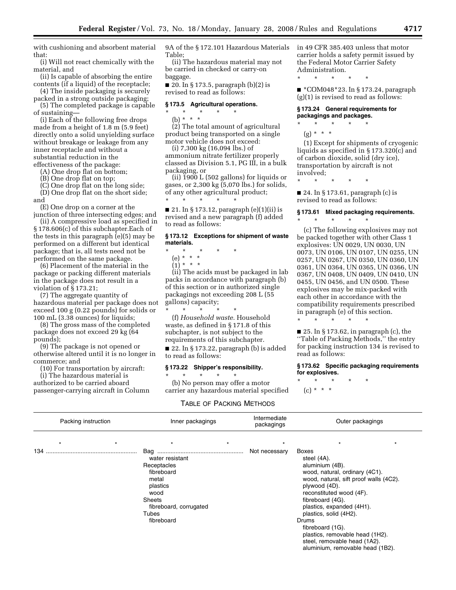with cushioning and absorbent material that:

(i) Will not react chemically with the material, and

(ii) Is capable of absorbing the entire contents (if a liquid) of the receptacle;

(4) The inside packaging is securely packed in a strong outside packaging;

(5) The completed package is capable of sustaining—

(i) Each of the following free drops made from a height of 1.8 m (5.9 feet) directly onto a solid unyielding surface without breakage or leakage from any inner receptacle and without a substantial reduction in the

effectiveness of the package: (A) One drop flat on bottom;

(B) One drop flat on top;

(C) One drop flat on the long side;

(D) One drop flat on the short side; and

(E) One drop on a corner at the

junction of three intersecting edges; and (ii) A compressive load as specified in § 178.606(c) of this subchapter.Each of the tests in this paragraph (e)(5) may be performed on a different but identical package; that is, all tests need not be performed on the same package.

(6) Placement of the material in the package or packing different materials in the package does not result in a violation of § 173.21;

(7) The aggregate quantity of hazardous material per package does not exceed 100 g (0.22 pounds) for solids or 100 mL (3.38 ounces) for liquids;

(8) The gross mass of the completed package does not exceed 29 kg (64 pounds);

(9) The package is not opened or otherwise altered until it is no longer in commerce; and

(10) For transportation by aircraft:

(i) The hazardous material is authorized to be carried aboard passenger-carrying aircraft in Column 9A of the § 172.101 Hazardous Materials Table;

(ii) The hazardous material may not be carried in checked or carry-on baggage.

 $\blacksquare$  20. In § 173.5, paragraph (b)(2) is revised to read as follows:

#### **§ 173.5 Agricultural operations.**

- \* \* \* \* \*
- (b) \* \* \*

(2) The total amount of agricultural product being transported on a single motor vehicle does not exceed:

(i) 7,300 kg (16,094 lbs.) of ammonium nitrate fertilizer properly classed as Division 5.1, PG III, in a bulk packaging, or

(ii)  $1900 L$  (502 gallons) for liquids or gases, or 2,300 kg (5,070 lbs.) for solids, of any other agricultural product; \* \* \* \* \*

■ 21. In § 173.12, paragraph (e)(1)(ii) is revised and a new paragraph (f) added to read as follows:

### **§ 173.12 Exceptions for shipment of waste materials.**

### \* \* \* \* \*

- (e) \* \* \*  $(1)^* * * *$
- 

(ii) The acids must be packaged in lab packs in accordance with paragraph (b) of this section or in authorized single packagings not exceeding 208 L (55 gallons) capacity;

\* \* \* \* \* (f) *Household waste.* Household waste, as defined in § 171.8 of this subchapter, is not subject to the requirements of this subchapter.

 $\blacksquare$  22. In § 173.22, paragraph (b) is added to read as follows:

#### **§ 173.22 Shipper's responsibility.**  \* \* \* \* \*

(b) No person may offer a motor carrier any hazardous material specified

## TABLE OF PACKING METHODS

in 49 CFR 385.403 unless that motor carrier holds a safety permit issued by the Federal Motor Carrier Safety Administration.

\* \* \* \* \*

\* \* \* \* \*

■ \*COM048\*23. In § 173.24, paragraph (g)(1) is revised to read as follows:

## **§ 173.24 General requirements for packagings and packages.**

(g) \* \* \* \*

(1) Except for shipments of cryogenic liquids as specified in § 173.320(c) and of carbon dioxide, solid (dry ice), transportation by aircraft is not involved;

\* \* \* \* \*

\* \* \* \* \*

■ 24. In § 173.61, paragraph (c) is revised to read as follows:

## **§ 173.61 Mixed packaging requirements.**

(c) The following explosives may not be packed together with other Class 1 explosives: UN 0029, UN 0030, UN 0073, UN 0106, UN 0107, UN 0255, UN 0257, UN 0267, UN 0350, UN 0360, UN 0361, UN 0364, UN 0365, UN 0366, UN 0367, UN 0408, UN 0409, UN 0410, UN 0455, UN 0456, and UN 0500. These explosives may be mix-packed with each other in accordance with the compatibility requirements prescribed in paragraph (e) of this section. \* \* \* \* \*

 $\blacksquare$  25. In § 173.62, in paragraph (c), the ''Table of Packing Methods,'' the entry for packing instruction 134 is revised to read as follows:

**§ 173.62 Specific packaging requirements for explosives.** 

\* \* \* \* \*

 $(c) * * * *$ 

| Packing instruction |         |                                                                                                                                      | Inner packagings |               | Outer packagings                                                                                                                                                                                                                                                                                                                                                                |  |  |
|---------------------|---------|--------------------------------------------------------------------------------------------------------------------------------------|------------------|---------------|---------------------------------------------------------------------------------------------------------------------------------------------------------------------------------------------------------------------------------------------------------------------------------------------------------------------------------------------------------------------------------|--|--|
| $\star$             | $\star$ | $\star$                                                                                                                              |                  | $\star$       |                                                                                                                                                                                                                                                                                                                                                                                 |  |  |
|                     |         | water resistant<br>Receptacles<br>fibreboard<br>metal<br>plastics<br>wood<br>Sheets<br>fibreboard, corrugated<br>Tubes<br>fibreboard |                  | Not necessary | Boxes<br>steel (4A).<br>aluminium (4B).<br>wood, natural, ordinary (4C1).<br>wood, natural, sift proof walls (4C2).<br>plywood (4D).<br>reconstituted wood (4F).<br>fibreboard (4G).<br>plastics, expanded (4H1).<br>plastics, solid (4H2).<br>Drums<br>fibreboard (1G).<br>plastics, removable head (1H2).<br>steel, removable head (1A2).<br>aluminium, removable head (1B2). |  |  |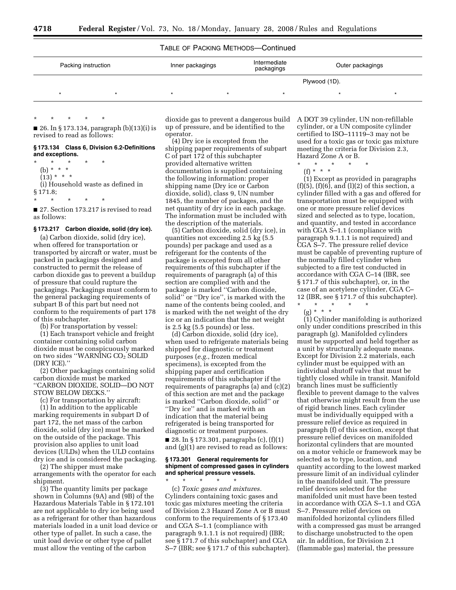## TABLE OF PACKING METHODS—Continued

| Packing instruction |  | Inner packagings | Intermediate<br>packagings | Outer packagings |  |  |
|---------------------|--|------------------|----------------------------|------------------|--|--|
|                     |  |                  |                            | Plywood (1D).    |  |  |
|                     |  |                  |                            |                  |  |  |

 $\blacksquare$  26. In § 173.134, paragraph (b)(13)(i) is revised to read as follows:

**§ 173.134 Class 6, Division 6.2-Definitions and exceptions.** 

\* \* \* \* \* (b) \* \* \*  $(13) * * * *$ (i) Household waste as defined in § 171.8;

\* \* \* \* \*

\* \* \* \* \*

■ 27. Section 173.217 is revised to read as follows:

#### **§ 173.217 Carbon dioxide, solid (dry ice).**

(a) Carbon dioxide, solid (dry ice), when offered for transportation or transported by aircraft or water, must be packed in packagings designed and constructed to permit the release of carbon dioxide gas to prevent a buildup of pressure that could rupture the packagings. Packagings must conform to the general packaging requirements of subpart B of this part but need not conform to the requirements of part 178 of this subchapter.

(b) For transportation by vessel:

(1) Each transport vehicle and freight container containing solid carbon dioxide must be conspicuously marked on two sides "WARNING CO2 SOLID (DRY ICE).''

(2) Other packagings containing solid carbon dioxide must be marked ''CARBON DIOXIDE, SOLID—DO NOT STOW BELOW DECKS.''

(c) For transportation by aircraft:

(1) In addition to the applicable marking requirements in subpart D of part 172, the net mass of the carbon dioxide, solid (dry ice) must be marked on the outside of the package. This provision also applies to unit load devices (ULDs) when the ULD contains dry ice and is considered the packaging.

(2) The shipper must make arrangements with the operator for each shipment.

(3) The quantity limits per package shown in Columns (9A) and (9B) of the Hazardous Materials Table in § 172.101 are not applicable to dry ice being used as a refrigerant for other than hazardous materials loaded in a unit load device or other type of pallet. In such a case, the unit load device or other type of pallet must allow the venting of the carbon

dioxide gas to prevent a dangerous build A DOT 39 cylinder, UN non-refillable up of pressure, and be identified to the operator.

(4) Dry ice is excepted from the shipping paper requirements of subpart C of part 172 of this subchapter provided alternative written documentation is supplied containing the following information: proper shipping name (Dry ice or Carbon dioxide, solid), class 9, UN number 1845, the number of packages, and the net quantity of dry ice in each package. The information must be included with the description of the materials.

(5) Carbon dioxide, solid (dry ice), in quantities not exceeding 2.5 kg (5.5 pounds) per package and used as a refrigerant for the contents of the package is excepted from all other requirements of this subchapter if the requirements of paragraph (a) of this section are complied with and the package is marked ''Carbon dioxide, solid" or "Dry ice", is marked with the name of the contents being cooled, and is marked with the net weight of the dry ice or an indication that the net weight is 2.5 kg (5.5 pounds) or less.

(d) Carbon dioxide, solid (dry ice), when used to refrigerate materials being shipped for diagnostic or treatment purposes (*e.g.*, frozen medical specimens), is excepted from the shipping paper and certification requirements of this subchapter if the requirements of paragraphs (a) and (c)(2) of this section are met and the package is marked ''Carbon dioxide, solid'' or ''Dry ice'' and is marked with an indication that the material being refrigerated is being transported for diagnostic or treatment purposes.

 $\blacksquare$  28. In § 173.301, paragraphs (c), (f)(1) and (g)(1) are revised to read as follows:

#### **§ 173.301 General requirements for shipment of compressed gases in cylinders and spherical pressure vessels.**

\* \* \* \* \* (c) *Toxic gases and mixtures.*  Cylinders containing toxic gases and toxic gas mixtures meeting the criteria of Division 2.3 Hazard Zone A or B must conform to the requirements of § 173.40 and CGA S–1.1 (compliance with paragraph 9.1.1.1 is not required) (IBR; see § 171.7 of this subchapter) and CGA S–7 (IBR; see § 171.7 of this subchapter).

cylinder, or a UN composite cylinder certified to ISO–11119–3 may not be used for a toxic gas or toxic gas mixture meeting the criteria for Division 2.3, Hazard Zone A or B.

\* \* \* \* \*

 $(f) * * * *$ 

(1) Except as provided in paragraphs  $(f)(5)$ ,  $(f)(6)$ , and  $(l)(2)$  of this section, a cylinder filled with a gas and offered for transportation must be equipped with one or more pressure relief devices sized and selected as to type, location, and quantity, and tested in accordance with CGA S–1.1 (compliance with paragraph 9.1.1.1 is not required) and CGA S–7. The pressure relief device must be capable of preventing rupture of the normally filled cylinder when subjected to a fire test conducted in accordance with CGA C–14 (IBR, see § 171.7 of this subchapter), or, in the case of an acetylene cylinder, CGA C– 12 (IBR, see § 171.7 of this subchapter).

\* \* \* \* \* (g) \* \* \*

(1) Cylinder manifolding is authorized only under conditions prescribed in this paragraph (g). Manifolded cylinders must be supported and held together as a unit by structurally adequate means. Except for Division 2.2 materials, each cylinder must be equipped with an individual shutoff valve that must be tightly closed while in transit. Manifold branch lines must be sufficiently flexible to prevent damage to the valves that otherwise might result from the use of rigid branch lines. Each cylinder must be individually equipped with a pressure relief device as required in paragraph (f) of this section, except that pressure relief devices on manifolded horizontal cylinders that are mounted on a motor vehicle or framework may be selected as to type, location, and quantity according to the lowest marked pressure limit of an individual cylinder in the manifolded unit. The pressure relief devices selected for the manifolded unit must have been tested in accordance with CGA S–1.1 and CGA S–7. Pressure relief devices on manifolded horizontal cylinders filled with a compressed gas must be arranged to discharge unobstructed to the open air. In addition, for Division 2.1 (flammable gas) material, the pressure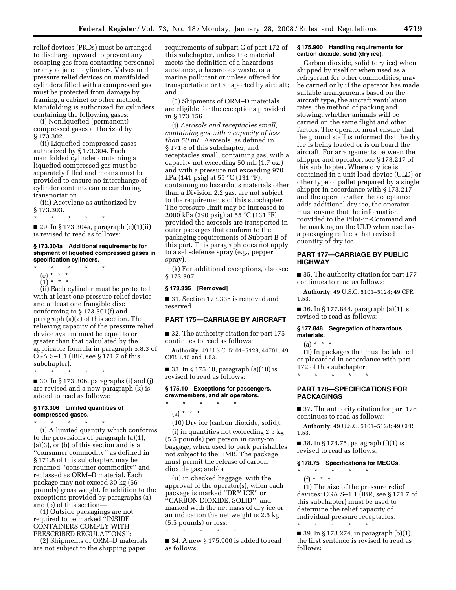relief devices (PRDs) must be arranged to discharge upward to prevent any escaping gas from contacting personnel or any adjacent cylinders. Valves and pressure relief devices on manifolded cylinders filled with a compressed gas must be protected from damage by framing, a cabinet or other method. Manifolding is authorized for cylinders containing the following gases:

(i) Nonliquefied (permanent) compressed gases authorized by § 173.302.

(ii) Liquefied compressed gases authorized by § 173.304. Each manifolded cylinder containing a liquefied compressed gas must be separately filled and means must be provided to ensure no interchange of cylinder contents can occur during transportation.

(iii) Acetylene as authorized by § 173.303.

\* \* \* \* \*

 $\blacksquare$  29. In § 173.304a, paragraph (e)(1)(ii) is revised to read as follows:

#### **§ 173.304a Additional requirements for shipment of liquefied compressed gases in specification cylinders.**

- \* \* \* \* \*
- (e) \* \* \*
- $(1) * * * *$

(ii) Each cylinder must be protected with at least one pressure relief device and at least one frangible disc conforming to § 173.301(f) and paragraph (a)(2) of this section. The relieving capacity of the pressure relief device system must be equal to or greater than that calculated by the applicable formula in paragraph 5.8.3 of CGA S–1.1 (IBR, see § 171.7 of this subchapter).

\* \* \* \* \*

■ 30. In § 173.306, paragraphs (i) and (j) are revised and a new paragraph (k) is added to read as follows:

## **§ 173.306 Limited quantities of compressed gases.**

\* \* \* \* \* (i) A limited quantity which conforms to the provisions of paragraph (a)(1), (a)(3), or (b) of this section and is a ''consumer commodity'' as defined in § 171.8 of this subchapter, may be renamed ''consumer commodity'' and reclassed as ORM–D material. Each package may not exceed 30 kg (66 pounds) gross weight. In addition to the exceptions provided by paragraphs (a) and (b) of this section—

(1) Outside packagings are not required to be marked ''INSIDE CONTAINERS COMPLY WITH PRESCRIBED REGULATIONS'';

(2) Shipments of ORM–D materials are not subject to the shipping paper

requirements of subpart C of part 172 of this subchapter, unless the material meets the definition of a hazardous substance, a hazardous waste, or a marine pollutant or unless offered for transportation or transported by aircraft; and

(3) Shipments of ORM–D materials are eligible for the exceptions provided in § 173.156.

(j) *Aerosols and receptacles small, containing gas with a capacity of less than 50 mL.* Aerosols, as defined in § 171.8 of this subchapter, and receptacles small, containing gas, with a capacity not exceeding 50 mL (1.7 oz.) and with a pressure not exceeding 970 kPa (141 psig) at 55 °C (131 °F), containing no hazardous materials other than a Division 2.2 gas, are not subject to the requirements of this subchapter. The pressure limit may be increased to 2000 kPa (290 psig) at 55 °C (131 °F) provided the aerosols are transported in outer packages that conform to the packaging requirements of Subpart B of this part. This paragraph does not apply to a self-defense spray (e.g., pepper spray).

(k) For additional exceptions, also see § 173.307.

### **§ 173.335 [Removed]**

■ 31. Section 173.335 is removed and reserved.

## **PART 175—CARRIAGE BY AIRCRAFT**

■ 32. The authority citation for part 175 continues to read as follows:

**Authority:** 49 U.S.C. 5101–5128, 44701; 49 CFR 1.45 and 1.53.

■ 33. In § 175.10, paragraph (a)(10) is revised to read as follows:

## **§ 175.10 Exceptions for passengers, crewmembers, and air operators.**

 $\star$   $\qquad$   $\star$   $\qquad$   $\star$  $(a) * * * *$ 

(10) Dry ice (carbon dioxide, solid):

(i) in quantities not exceeding 2.5 kg (5.5 pounds) per person in carry-on baggage, when used to pack perishables not subject to the HMR. The package must permit the release of carbon dioxide gas; and/or

(ii) in checked baggage, with the approval of the operator(s), when each package is marked ''DRY ICE'' or ''CARBON DIOXIDE, SOLID'', and marked with the net mass of dry ice or an indication the net weight is 2.5 kg (5.5 pounds) or less.

\* \* \* \* \*

■ 34. A new § 175.900 is added to read as follows:

### **§ 175.900 Handling requirements for carbon dioxide, solid (dry ice).**

Carbon dioxide, solid (dry ice) when shipped by itself or when used as a refrigerant for other commodities, may be carried only if the operator has made suitable arrangements based on the aircraft type, the aircraft ventilation rates, the method of packing and stowing, whether animals will be carried on the same flight and other factors. The operator must ensure that the ground staff is informed that the dry ice is being loaded or is on board the aircraft. For arrangements between the shipper and operator, see § 173.217 of this subchapter. Where dry ice is contained in a unit load device (ULD) or other type of pallet prepared by a single shipper in accordance with § 173.217 and the operator after the acceptance adds additional dry ice, the operator must ensure that the information provided to the Pilot-in-Command and the marking on the ULD when used as a packaging reflects that revised quantity of dry ice.

## **PART 177—CARRIAGE BY PUBLIC HIGHWAY**

■ 35. The authority citation for part 177 continues to read as follows:

**Authority:** 49 U.S.C. 5101–5128; 49 CFR 1.53.

■ 36. In § 177.848, paragraph (a)(1) is revised to read as follows:

### **§ 177.848 Segregation of hazardous materials.**

 $(a) * * * *$ 

(1) In packages that must be labeled or placarded in accordance with part 172 of this subchapter; \* \* \* \* \*

## **PART 178—SPECIFICATIONS FOR PACKAGINGS**

■ 37. The authority citation for part 178 continues to read as follows:

**Authority:** 49 U.S.C. 5101–5128; 49 CFR 1.53.

■ 38. In § 178.75, paragraph  $(f)(1)$  is revised to read as follows:

# **§ 178.75 Specifications for MEGCs.**

\* \* \* \* \*  $(f) * * * *$ 

(1) The size of the pressure relief devices: CGA S–1.1 (IBR, see § 171.7 of this subchapter) must be used to determine the relief capacity of individual pressure receptacles. \* \* \* \* \*

■ 39. In § 178.274, in paragraph (b)(1), the first sentence is revised to read as follows: